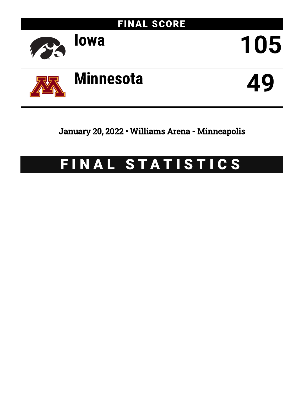

January 20, 2022 • Williams Arena - Minneapolis

# FINAL STATISTICS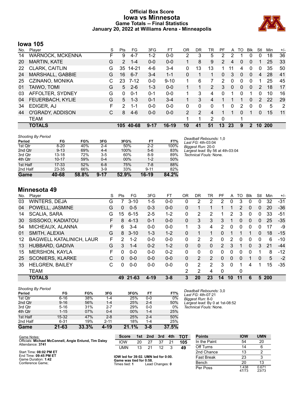# **Official Box Score Iowa vs Minnesota Game Totals -- Final Statistics January 20, 2022 at Williams Arena - Minneapolis**



# **Iowa 105**

| No. | Plaver              | S  | <b>Pts</b>      | FG       | 3FG      | FT       | 0 <sub>R</sub> | DR | TR             | РF | A        | TO       | <b>Blk</b>   | Stl            | Min        | $+/-$ |
|-----|---------------------|----|-----------------|----------|----------|----------|----------------|----|----------------|----|----------|----------|--------------|----------------|------------|-------|
| 14  | WARNOCK, MCKENNA    | F. | 9               | $4 - 7$  | 1-2      | $0-0$    | 2              | 3  | 5              | 2  |          |          | 0            | 0              | 18         | 36    |
| 20  | <b>MARTIN, KATE</b> | G  | $\overline{2}$  | $1 - 4$  | $0 - 0$  | $0 - 0$  | 1              | 8  | 9              | 2  | 4        | 0        | 0            |                | 25         | 33    |
| 22  | CLARK, CAITLIN      | G  | 35              | 14-21    | $4-6$    | $3 - 4$  | 0              | 13 | 13             | 1  | 11       | 4        | 0            | 0              | 35         | 50    |
| 24  | MARSHALL, GABBIE    | G  | 16 <sup>°</sup> | $6 - 7$  | $3 - 4$  | $1 - 1$  | $\Omega$       |    | 1              | 0  | 3        | $\Omega$ | $\mathbf{0}$ | 4              | 28         | 41    |
| 25  | CZINANO, MONIKA     | C  | 23              | $7 - 12$ | $0 - 0$  | $9 - 10$ | 1              | 6  | 7              | 2  | $\Omega$ | 0        | 0            |                | 25         | 45    |
| 01  | TAIWO, TOMI         | G  | 5               | $2 - 6$  | $1 - 3$  | $0 - 0$  |                |    | $\overline{2}$ | 3  | $\Omega$ | 0        | $\Omega$     | $\overline{2}$ | 18         | 17    |
| 03  | AFFOLTER, SYDNEY    | G  | $\Omega$        | $0 - 1$  | $0 - 1$  | $0 - 0$  |                | 3  | 4              | 0  |          | 0        | 1            | 0              | 10         | 16    |
| 04  | FEUERBACH, KYLIE    | G  | 5               | $1 - 3$  | $0 - 1$  | $3 - 4$  |                | 3  | 4              |    |          |          | $\Omega$     | $\mathcal{P}$  | 22         | 29    |
| 34  | EDIGER, AJ          | F  | $\mathcal{P}$   | 1-1      | $0 - 0$  | $0 - 0$  | 0              | 0  | 0              |    | 0        | 2        | 0            | 0              | 5          | -2    |
| 44  | O'GRADY, ADDISON    | С  | 8               | $4-6$    | $0-0$    | $0 - 0$  | 2              | 2  | 4              |    |          | 0        |              | 0              | 15         | -11   |
|     | <b>TEAM</b>         |    |                 |          |          |          | 1              | 1  | 2              | 0  |          |          |              |                |            |       |
|     | <b>TOTALS</b>       |    | 105             | 40-68    | $9 - 17$ | 16-19    | 10             | 41 | 51             | 13 | 23       | 9        | $\mathbf{2}$ | 10             | <b>200</b> |       |

| <b>Shooting By Period</b> |           |       |          |       |          |       | Deadball Rebounds: 1.0           |
|---------------------------|-----------|-------|----------|-------|----------|-------|----------------------------------|
| Period                    | FG        | FG%   | 3FG      | 3FG%  | FТ       | FT%   | Last FG: 4th-03:04               |
| 1st Qtr                   | $8 - 20$  | 40%   | $2 - 4$  | 50%   | $2 - 2$  | 100%  | Biggest Run: 20-0                |
| 2nd Qtr                   | $9 - 13$  | 69%   | $4 - 4$  | 100%  | $5-6$    | 83%   | Largest lead: By 56 at 4th-03:04 |
| 3rd Qtr                   | $13 - 18$ | 72%   | $3 - 5$  | 60%   | $8-9$    | 89%   | Technical Fouls: None.           |
| 4th Qtr                   | $10 - 17$ | 59%   | $0 - 4$  | 00%   | $1 - 2$  | 50%   |                                  |
| 1st Half                  | $17 - 33$ | 52%   | $6 - 8$  | 75%   | $7-8$    | 88%   |                                  |
| 2nd Half                  | 23-35     | 66%   | $3-9$    | 33%   | $9 - 11$ | 82%   |                                  |
| Game                      | 40-68     | 58.8% | $9 - 17$ | 52.9% | $16-19$  | 84.2% |                                  |

**Minnesota 49**

| No. | Player                          | S  | Pts             | FG       | 3FG      | FТ      | 0R       | DR       | TR       | PF            | A        | TO | <b>B</b> lk  | Stl      | Min        | $+/-$ |
|-----|---------------------------------|----|-----------------|----------|----------|---------|----------|----------|----------|---------------|----------|----|--------------|----------|------------|-------|
| 03  | <b>WINTERS, DEJA</b>            | G  |                 | $3 - 10$ | $1 - 5$  | $0 - 0$ | 0        | 2        | 2        | 2             | O        | 3  | 0            | 0        | 32         | -31   |
| 04  | POWELL, JASMINE                 | G  | 0               | $0 - 5$  | $0 - 3$  | $0 - 0$ | 0        |          |          |               |          | 2  | $\Omega$     | 0        | 20         | $-36$ |
| 14  | <b>SCALIA, SARA</b>             | G  | 15 <sub>1</sub> | $6 - 15$ | $2 - 5$  | $1 - 2$ | 0        | 2        | 2        |               | 2        | 3  | $\mathbf{0}$ | $\Omega$ | 33         | -51   |
| 30  | SISSOKO, KADIATOU               | F  | 8               | $4 - 13$ | $0 - 1$  | $0 - 0$ | 0        | 3        | 3        | 3             |          | 0  | $\Omega$     | 0        | 25         | $-35$ |
| 54  | MICHEAUX, ALANNA                | F  | 6.              | $3 - 4$  | $0 - 0$  | $0 - 0$ | 1        | 3        | 4        | 2             | 0        | 0  | $\Omega$     | 0        | 17         | -9    |
| 01  | SMITH, ALEXIA                   | G  | 8               | $3 - 10$ | $1 - 3$  | $1 - 2$ | 0        |          |          | 0             |          |    |              | $\Omega$ | 18         | $-15$ |
| 12  | <b>BAGWELL KATALINICH, LAUR</b> | F  | 2               | $1 - 2$  | $0 - 0$  | $0 - 0$ | 0        | 2        | 2        | 0             | 2        | 0  | $\Omega$     | 0        | 6          | $-10$ |
| 13  | HUBBARD, GADIVA                 | G  | 3               | $1 - 4$  | $0 - 2$  | $1 - 2$ | $\Omega$ | $\Omega$ | $\Omega$ | $\mathcal{P}$ | 3        | 1  | $\Omega$     | 3        | 21         | $-44$ |
| 15  | <b>MERSHON, KAYLA</b>           | F. | 0               | $0 - 0$  | $0 - 0$  | $0 - 2$ | 0        | $\Omega$ | $\Omega$ | $\Omega$      | 0        | 0  | $\Omega$     |          | 8          | $-12$ |
| 25  | <b>SCONIERS, KLARKE</b>         | С  | 0               | $0 - 0$  | $0 - 0$  | $0 - 0$ | 0        | 2        | 2        | 0             | 0        | 0  |              | 0        | 5          | $-2$  |
| 35  | <b>HELGREN, BAILEY</b>          | С  | 0               | $0-0$    | $0-0$    | $0 - 0$ | 0        | 2        | 2        | 3             | $\Omega$ | 1  | 4            |          | 15         | $-35$ |
|     | <b>TEAM</b>                     |    |                 |          |          |         | 2        | 2        | 4        | $\Omega$      |          | 0  |              |          |            |       |
|     | <b>TOTALS</b>                   |    |                 | 49 21-63 | $4 - 19$ | $3 - 8$ | 3        | 20       | 23       | 14            | 10       | 11 | 6            | 5        | <b>200</b> |       |

| Period   | FG        | FG%   | 3FG      | 3FG%  | FT      | FT%   |
|----------|-----------|-------|----------|-------|---------|-------|
| 1st Qtr  | $6 - 16$  | 38%   | $1 - 4$  | 25%   | $0 - 0$ | 0%    |
| 2nd Qtr  | $9 - 16$  | 56%   | $1 - 4$  | 25%   | $2 - 4$ | 50%   |
| 3rd Qtr  | $5 - 16$  | 31%   | $2 - 7$  | 29%   | $0 - 0$ | 0%    |
| 4th Qtr  | $1 - 15$  | 07%   | $0 - 4$  | 00%   | $1 - 4$ | 25%   |
| 1st Half | $15 - 32$ | 47%   | $2 - 8$  | 25%   | $2 - 4$ | 50%   |
| 2nd Half | $6 - 31$  | 19%   | $2 - 11$ | 18%   | $1 - 4$ | 25%   |
| Game     | 21-63     | 33.3% | 4-19     | 21.1% | $3 - 8$ | 37.5% |

*Deadball Rebounds:* 3,0 *Last FG:* 4th-07:21 *Biggest Run:* 8-0 *Largest lead:* By 0 at 1st-08:52 *Technical Fouls:* None.

| Game Notes:                                                               | <b>Score</b>                             |    | 1st 2nd         | 3rd | 4th | <b>TOT</b> | <b>Points</b>     | <b>IOW</b>     | <b>UMN</b>     |
|---------------------------------------------------------------------------|------------------------------------------|----|-----------------|-----|-----|------------|-------------------|----------------|----------------|
| Officials: Michael McConnell, Angie Enlund, Tim Daley<br>Attendance: 3741 | <b>IOW</b>                               | 20 |                 | 37  | 21  | 105        | In the Paint      | 54             | 20             |
|                                                                           | UMN                                      | 13 |                 |     |     | 49         | Off Turns         | 14             | 6              |
| Start Time: 08:02 PM ET                                                   |                                          |    |                 |     |     |            | 2nd Chance        | 13             |                |
| End Time: 09:45 PM ET<br>Game Duration: 1:42                              | IOW led for 39:02. UMN led for 0:00.     |    |                 |     |     |            | <b>Fast Break</b> | 23             |                |
| Conference Game:                                                          | Game was tied for 0:58.<br>Times tied: 1 |    | Lead Changes: 0 |     |     |            | Bench             | 20             | 13             |
|                                                                           |                                          |    |                 |     |     |            | Per Poss          | 1.438<br>47/73 | 0.671<br>23/73 |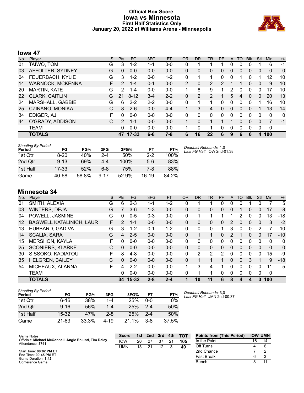# **Official Box Score Iowa vs Minnesota First Half Statistics Only January 20, 2022 at Williams Arena - Minneapolis**



# **Iowa 47**

| No. | Player                  | S  | <b>Pts</b>    | FG        | 3FG     | <b>FT</b> | <b>OR</b>      | <b>DR</b> | <b>TR</b>      | PF | A            | TO       | <b>Blk</b> | Stl          | <b>Min</b>   | $+/-$ |
|-----|-------------------------|----|---------------|-----------|---------|-----------|----------------|-----------|----------------|----|--------------|----------|------------|--------------|--------------|-------|
| 01  | TAIWO, TOMI             | G  | 3             | $1 - 2$   | 1-1     | $0 - 0$   | 0              | 1         |                |    | 0            | 0        | 0          |              | 6            | $-1$  |
| 03  | AFFOLTER, SYDNEY        | G  | $\mathbf{0}$  | $0 - 0$   | $0 - 0$ | $0 - 0$   | 0              | 0         | 0              | 0  | 0            | 0        | 0          | 0            | $\mathbf{0}$ | 0     |
| 04  | FEUERBACH, KYLIE        | G  | 3             | $1 - 2$   | $0 - 0$ | $1-2$     | 0              | 1         |                | 0  | 0            |          | 0          |              | 12           | 10    |
| 14  | <b>WARNOCK, MCKENNA</b> | F. | $\mathcal{P}$ | $1 - 4$   | $0 - 1$ | $0 - 0$   | $\overline{2}$ | 0         | $\overline{2}$ | 2  |              |          | 0          | $\mathbf{0}$ | 9            | 10    |
| 20  | <b>MARTIN, KATE</b>     | G  | $\mathcal{P}$ | 1-4       | $0 - 0$ | $0 - 0$   |                | 8         | 9              |    | 2            | 0        |            | 0            | 17           | 10    |
| 22  | CLARK, CAITLIN          | G  | 21            | $8 - 12$  | $3 - 4$ | $2 - 2$   | 0              | 2         | 2              |    | 5            | 4        | 0          | 0            | 20           | 13    |
| 24  | MARSHALL, GABBIE        | G  | 6             | $2 - 2$   | $2 - 2$ | $0 - 0$   | 0              | 1         | 1              | 0  | 0            | 0        | $\Omega$   | 1            | 16           | 10    |
| 25  | CZINANO, MONIKA         | С  | 8             | $2 - 6$   | $0 - 0$ | $4 - 4$   |                | 3         | 4              | 0  | $\mathbf{0}$ | $\Omega$ | $\Omega$   |              | 13           | 14    |
| 34  | EDIGER, AJ              | F  | $\Omega$      | $0 - 0$   | $0 - 0$ | $0 - 0$   | 0              | $\Omega$  | 0              | 0  | 0            | 0        | $\Omega$   | $\Omega$     | $\Omega$     | 0     |
| 44  | O'GRADY, ADDISON        | C. | $\mathcal{P}$ | $1 - 1$   | $0 - 0$ | $0 - 0$   |                | $\Omega$  |                |    |              | 0        | $\Omega$   | $\Omega$     | 7            | -1    |
|     | <b>TEAM</b>             |    | 0             | $0 - 0$   | $0 - 0$ | $0 - 0$   |                | $\Omega$  |                | 0  | 0            | 0        | $\Omega$   | $\Omega$     | $\mathbf 0$  |       |
|     | <b>TOTALS</b>           |    | 47            | $17 - 33$ | $6 - 8$ | 7-8       | 6              | 16        | 22             | 6  | 9            | 6        | $\bf{0}$   | 4            | 100          |       |

| <b>Shooting By Period</b> |           |       |          |       |         |       |
|---------------------------|-----------|-------|----------|-------|---------|-------|
| Period                    | FG        | FG%   | 3FG      | 3FG%  | FТ      | FT%   |
| 1st Otr                   | $8 - 20$  | 40%   | $2 - 4$  | 50%   | $2-2$   | 100%  |
| 2nd Otr                   | $9 - 13$  | 69%   | $4 - 4$  | 100%  | 5-6     | 83%   |
| 1st Half                  | $17 - 33$ | 52%   | 6-8      | 75%   | 7-8     | 88%   |
| Game                      | 40-68     | 58.8% | $9 - 17$ | 52.9% | $16-19$ | 84.2% |

#### *Deadball Rebounds:* 1,0 *Last FG Half:* IOW 2nd-01:38

# **Minnesota 34**

| No. | Player                          | S  | <b>Pts</b> | FG        | 3FG     | <b>FT</b> | <b>OR</b> | <b>DR</b> | TR       | <b>PF</b>     | A | TO       | <b>Blk</b> | Stl      | <b>Min</b>  | $+/-$ |
|-----|---------------------------------|----|------------|-----------|---------|-----------|-----------|-----------|----------|---------------|---|----------|------------|----------|-------------|-------|
| 01  | SMITH, ALEXIA                   | G  | 6          | $2 - 3$   | 1-1     | 1-2       | 0         |           |          |               | 0 | 0        |            | 0        |             | 5     |
| 03  | <b>WINTERS, DEJA</b>            | G  |            | $3-6$     | $1 - 3$ | $0 - 0$   | 0         | 0         | 0        | 0             | 0 |          | 0          | 0        | 17          | -8    |
| 04  | POWELL, JASMINE                 | G  | 0          | $0 - 5$   | $0 - 3$ | $0 - 0$   | 0         | 1         |          | 1             |   | 2        | 0          | 0        | 13          | $-18$ |
| 12  | <b>BAGWELL KATALINICH, LAUR</b> | F  | 2          | $1 - 1$   | $0 - 0$ | $0 - 0$   | 0         | 0         | 0        | 0             | 2 | 0        | 0          | 0        | 3           | $-2$  |
| 13  | HUBBARD, GADIVA                 | G  | 3          | $1 - 2$   | $0 - 1$ | 1-2       | 0         | 0         | 0        | 1             | 3 | 0        | 0          | 2        | 7           | -10   |
| 14  | <b>SCALIA, SARA</b>             | G  | 4          | $2 - 5$   | $0 - 0$ | $0 - 0$   | 0         | 1         | 1        | 0             | 2 |          | 0          | 0        | 17          | $-10$ |
| 15  | <b>MERSHON, KAYLA</b>           | F  | 0          | $0 - 0$   | $0 - 0$ | $0 - 0$   | 0         | 0         | 0        | 0             | 0 | 0        | 0          | 0        | $\Omega$    | 0     |
| 25  | <b>SCONIERS, KLARKE</b>         | С  | $\Omega$   | $0 - 0$   | $0 - 0$ | $0 - 0$   | $\Omega$  | 0         | $\Omega$ | $\Omega$      | 0 | $\Omega$ | $\Omega$   | $\Omega$ | $\Omega$    | 0     |
| 30  | SISSOKO, KADIATOU               | F  | 8          | $4 - 8$   | $0 - 0$ | $0 - 0$   | 0         | 2         | 2        | $\mathcal{P}$ | 0 | 0        | $\Omega$   | 0        | 15          | -9    |
| 35  | <b>HELGREN, BAILEY</b>          | C  | 0          | $0 - 0$   | $0 - 0$ | $0 - 0$   | 0         | 1         |          |               | 0 | $\Omega$ | 3          | 1        | 9           | $-18$ |
| 54  | MICHEAUX, ALANNA                | F. | 4          | $2 - 2$   | $0 - 0$ | $0 - 0$   | 1         | 3         | 4        | 1             | 0 | 0        | 0          | 0        | 11          | 5     |
|     | <b>TEAM</b>                     |    | 0          | $0 - 0$   | $0 - 0$ | $0 - 0$   | 0         | 1         |          | 0             | 0 | 0        | 0          | 0        | $\mathbf 0$ |       |
|     | <b>TOTALS</b>                   |    | 34         | $15 - 32$ | $2 - 8$ | $2 - 4$   | 1         | 10        | 11       | 6             | 8 | 4        | 4          | 3        | 100         |       |

| <b>Shooting By Period</b><br>Period | FG        | FG%   | 3FG      | 3FG%  | FТ      | FT%   |
|-------------------------------------|-----------|-------|----------|-------|---------|-------|
| 1st Otr                             | 6-16      | 38%   | 1-4      | 25%   | 0-0     | 0%    |
| 2nd Otr                             | $9 - 16$  | 56%   | 1-4      | 25%   | $2 - 4$ | 50%   |
| 1st Half                            | $15-32$   | 47%   | $2 - 8$  | 25%   | $2 - 4$ | 50%   |
| Game                                | $21 - 63$ | 33.3% | $4 - 19$ | 21.1% | $3 - 8$ | 37.5% |

*Deadball Rebounds:* 3,0 *Last FG Half:* UMN 2nd-00:37

| Game Notes:                                                               | <b>Score</b> | 1st l | 2nd | 3rd | 4th | <b>TOT</b> | <b>Points from (This Period)</b> | <b>IOW UMN</b> |    |
|---------------------------------------------------------------------------|--------------|-------|-----|-----|-----|------------|----------------------------------|----------------|----|
| Officials: Michael McConnell, Angie Enlund, Tim Daley<br>Attendance: 3741 | <b>IOW</b>   | 20    |     | 37  |     | 105        | In the Paint                     | 16             | 14 |
|                                                                           | UMN          | 13    | 21  | 12  |     | 49         | Off Turns                        |                |    |
| Start Time: 08:02 PM ET                                                   |              |       |     |     |     |            | 2nd Chance                       |                |    |
| End Time: 09:45 PM ET<br>Game Duration: 1:42                              |              |       |     |     |     |            | <b>Fast Break</b>                |                |    |
| Conference Game;                                                          |              |       |     |     |     |            | Bench                            |                |    |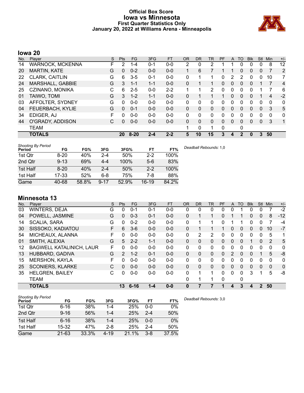# **Official Box Score Iowa vs Minnesota First Quarter Statistics Only January 20, 2022 at Williams Arena - Minneapolis**



# **Iowa 20**

| No. | Player              | S | <b>Pts</b>   | <b>FG</b> | 3FG     | <b>FT</b> | <b>OR</b> | DR           | TR | PF | A        | TO | <b>Blk</b> | Stl          | Min | $+/-$ |
|-----|---------------------|---|--------------|-----------|---------|-----------|-----------|--------------|----|----|----------|----|------------|--------------|-----|-------|
| 14  | WARNOCK, MCKENNA    | F | 2            | $1 - 4$   | $0 - 1$ | $0 - 0$   | 2         | 0            | 2  |    |          | 0  | 0          | 0            | 8   | 12    |
| 20  | <b>MARTIN, KATE</b> | G | 0            | $0 - 2$   | $0 - 0$ | $0 - 0$   |           | 6            |    |    |          | 0  | 0          | $\mathbf{0}$ |     | 2     |
| 22  | CLARK, CAITLIN      | G | 6            | $3 - 5$   | $0 - 1$ | $0 - 0$   | 0         |              |    | 0  | 2        | 2  | 0          | 0            | 10  | 7     |
| 24  | MARSHALL, GABBIE    | G | 3            | $1 - 1$   | $1 - 1$ | $0 - 0$   | $\Omega$  |              | 1  | 0  | $\Omega$ | 0  | 0          |              | 7   | 4     |
| 25  | CZINANO, MONIKA     | С | 6            | $2 - 5$   | $0 - 0$ | $2 - 2$   | 1         |              | 2  | 0  | $\Omega$ | 0  | 0          |              | 7   | 6     |
| 01  | TAIWO, TOMI         | G | 3            | $1 - 2$   | $1 - 1$ | $0 - 0$   | 0         |              |    |    | 0        | 0  | 0          |              | 4   | $-2$  |
| 03  | AFFOLTER, SYDNEY    | G | 0            | $0 - 0$   | $0 - 0$ | $0 - 0$   | 0         | 0            | 0  | 0  | $\Omega$ | 0  | 0          | $\Omega$     | 0   | 0     |
| 04  | FEUERBACH, KYLIE    | G | $\mathbf{0}$ | $0 - 1$   | $0 - 0$ | $0 - 0$   | $\Omega$  | $\mathbf{0}$ | 0  | 0  | $\Omega$ | 0  | 0          | $\mathbf{0}$ | 3   | 5     |
| 34  | EDIGER, AJ          | F | 0            | $0 - 0$   | $0 - 0$ | $0 - 0$   | 0         | 0            | 0  | 0  | $\Omega$ | 0  | 0          | 0            | 0   | 0     |
| 44  | O'GRADY, ADDISON    | С | 0            | $0 - 0$   | $0-0$   | $0 - 0$   | $\Omega$  | 0            | 0  | 0  | 0        | 0  | 0          | $\mathbf{0}$ | 3   | 1     |
|     | TEAM                |   |              |           |         |           | 1         | 0            | 1  | 0  |          | 0  |            |              |     |       |
|     | <b>TOTALS</b>       |   | 20           | $8 - 20$  | $2 - 4$ | $2 - 2$   | 5         | 10           | 15 | 3  | 4        | 2  | 0          | 3            | 50  |       |

| <b>Shooting By Period</b> |          |       |          |       |         |       |
|---------------------------|----------|-------|----------|-------|---------|-------|
| Period                    | FG       | FG%   | 3FG      | 3FG%  | FT      | FT%   |
| 1st Qtr                   | $8-20$   | 40%   | $2 - 4$  | 50%   | $2 - 2$ | 100%  |
| 2nd Qtr                   | $9 - 13$ | 69%   | $4 - 4$  | 100%  | $5-6$   | 83%   |
| 1st Half                  | $8 - 20$ | 40%   | $2 - 4$  | 50%   | $2 - 2$ | 100%  |
| 1st Half                  | 17-33    | 52%   | $6 - 8$  | 75%   | 7-8     | 88%   |
| Game                      | 40-68    | 58.8% | $9 - 17$ | 52.9% | 16-19   | 84.2% |

# **Minnesota 13**

| No. | Player                          | S  | Pts           | FG.      | 3FG     | <b>FT</b> | <b>OR</b> | <b>DR</b> | <b>TR</b>      | PF | A             | TO       | <b>B</b> lk | <b>Stl</b>     | Min      | $+/-$ |
|-----|---------------------------------|----|---------------|----------|---------|-----------|-----------|-----------|----------------|----|---------------|----------|-------------|----------------|----------|-------|
| 03  | <b>WINTERS, DEJA</b>            | G  | 0             | $0 - 1$  | $0 - 1$ | $0-0$     | 0         | 0         | 0              | 0  | 0             |          | 0           | 0              |          | $-2$  |
| 04  | POWELL, JASMINE                 | G  | $\Omega$      | $0 - 3$  | $0 - 1$ | $0 - 0$   | 0         |           | $\mathbf 1$    | 0  |               |          | 0           | $\mathbf{0}$   | 8        | $-12$ |
| 14  | <b>SCALIA, SARA</b>             | G  | 0             | $0 - 2$  | $0 - 0$ | $0 - 0$   | 0         |           | 1              | 0  |               |          | 0           | 0              |          | -4    |
| 30  | SISSOKO, KADIATOU               | F. | 6             | $3-6$    | $0 - 0$ | $0-0$     | 0         |           | 1              |    | 0             | $\Omega$ | 0           | $\Omega$       | 10       | $-7$  |
| 54  | MICHEAUX, ALANNA                | F  | 0             | $0 - 0$  | $0 - 0$ | $0 - 0$   | 0         | 2         | $\overline{2}$ | 0  | 0             | $\Omega$ | 0           | 0              | 5        | 1     |
| 01  | SMITH, ALEXIA                   | G  | 5             | $2 - 2$  | $1 - 1$ | $0 - 0$   | $\Omega$  | 0         | 0              | 0  | $\mathbf{0}$  | 0        |             | $\mathbf{0}$   | 2        | 5     |
| 12  | <b>BAGWELL KATALINICH, LAUR</b> | F  | 0             | $0 - 0$  | $0 - 0$ | $0-0$     | 0         | 0         | 0              | 0  | 0             | 0        | 0           | 0              | 0        | 0     |
| 13  | HUBBARD, GADIVA                 | G  | $\mathcal{P}$ | $1 - 2$  | $0 - 1$ | $0 - 0$   | $\Omega$  | 0         | 0              | 0  | $\mathcal{P}$ | $\Omega$ | 0           |                | 5        | -8    |
| 15  | <b>MERSHON, KAYLA</b>           | F  | 0             | $0 - 0$  | $0 - 0$ | $0 - 0$   | 0         | 0         | 0              | 0  | 0             | $\Omega$ | 0           | $\Omega$       | $\Omega$ | 0     |
| 25  | <b>SCONIERS, KLARKE</b>         | C  | $\Omega$      | $0 - 0$  | $0 - 0$ | $0 - 0$   | $\Omega$  | $\Omega$  | 0              | 0  | $\Omega$      | $\Omega$ | 0           | $\Omega$       | $\Omega$ | 0     |
| 35  | <b>HELGREN, BAILEY</b>          | С  | 0             | $0 - 0$  | $0 - 0$ | $0-0$     | 0         | 1         | 1.             | 0  | 0             | $\Omega$ | 3           |                | 5        | -8    |
|     | <b>TEAM</b>                     |    |               |          |         |           | 0         | 1         | 1              | 0  |               | 0        |             |                |          |       |
|     | <b>TOTALS</b>                   |    | 13            | $6 - 16$ | 1-4     | $0 - 0$   | 0         |           |                |    | 4             | 3        | 4           | $\overline{2}$ | 50       |       |

| <b>Shooting By Period</b><br><b>Period</b> | FG        | FG%   | 3FG      | 3FG%  | FT      | FT%   |
|--------------------------------------------|-----------|-------|----------|-------|---------|-------|
| 1st Qtr                                    | $6 - 16$  | 38%   | 1-4      | 25%   | $0 - 0$ | $0\%$ |
| 2nd Qtr                                    | $9 - 16$  | 56%   | 1-4      | 25%   | $2 - 4$ | 50%   |
| 1st Half                                   | $6 - 16$  | 38%   | 1-4      | 25%   | $0 - 0$ | $0\%$ |
| 1st Half                                   | 15-32     | 47%   | $2 - 8$  | 25%   | $2 - 4$ | 50%   |
| Game                                       | $21 - 63$ | 33.3% | $4 - 19$ | 21.1% | $3 - 8$ | 37.5% |

*Deadball Rebounds:* 3,0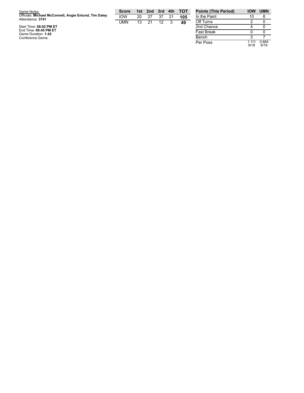| Game Notes:                                                               | <b>Score</b> |    | 1st 2nd 3rd 4th |    |    | тот | <b>Points (This Per</b> |
|---------------------------------------------------------------------------|--------------|----|-----------------|----|----|-----|-------------------------|
| Officials: Michael McConnell, Angie Enlund, Tim Daley<br>Attendance: 3741 | <b>IOW</b>   | 20 | 27              | 37 | 21 | 105 | In the Paint            |
|                                                                           | UMN          | 13 | 21              | 12 |    | 49  | Off Turns               |
| Start Time: 08:02 PM ET                                                   |              |    |                 |    |    |     | 2nd Chance              |
| End Time: 09:45 PM ET<br>Game Duration: 1:42                              |              |    |                 |    |    |     | <b>Fast Break</b>       |
| Conference Game;                                                          |              |    |                 |    |    |     | Bench                   |

| <b>Points (This Period)</b> | <b>IOW</b>      | <b>UMN</b>    |
|-----------------------------|-----------------|---------------|
| In the Paint                | 10              |               |
| Off Turns                   | 2               |               |
| 2nd Chance                  |                 |               |
| <b>Fast Break</b>           | O               |               |
| Bench                       | З               |               |
| Per Poss                    | 1 1 1 1<br>9/18 | 0.684<br>6/19 |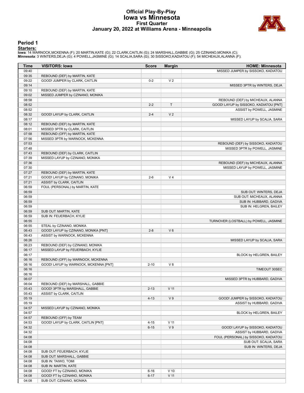# **Official Play-By-Play Iowa vs Minnesota First Quarter January 20, 2022 at Williams Arena - Minneapolis**



#### **Period 1**

**Starters:**<br>Iowa: 14 WARNOCK,MCKENNA (F); 20 MARTIN,KATE (G); 22 CLARK,CAITLIN (G); 24 MARSHALL,GABBIE (G); 25 CZINANO,MONIKA (C);<br>**Minnesota**: 3 WINTERS,DEJA (G); 4 POWELL,JASMINE (G); 14 SCALIA,SARA (G); 30 SISSOKO,KADIA

| <b>Time</b> | <b>VISITORS: Iowa</b>                 | <b>Score</b> | <b>Margin</b>   | <b>HOME: Minnesota</b>                 |
|-------------|---------------------------------------|--------------|-----------------|----------------------------------------|
| 09:40       |                                       |              |                 | MISSED JUMPER by SISSOKO, KADIATOU     |
| 09:35       | REBOUND (DEF) by MARTIN, KATE         |              |                 |                                        |
| 09:22       | GOOD! JUMPER by CLARK, CAITLIN        | $0 - 2$      | V <sub>2</sub>  |                                        |
| 09:14       |                                       |              |                 | MISSED 3PTR by WINTERS, DEJA           |
| 09:10       | REBOUND (DEF) by MARTIN, KATE         |              |                 |                                        |
| 09:02       | MISSED JUMPER by CZINANO, MONIKA      |              |                 |                                        |
| 08:58       |                                       |              |                 | REBOUND (DEF) by MICHEAUX, ALANNA      |
| 08:52       |                                       | $2 - 2$      | T               | GOOD! LAYUP by SISSOKO, KADIATOU [PNT] |
| 08:52       |                                       |              |                 | ASSIST by POWELL, JASMINE              |
| 08:32       | GOOD! LAYUP by CLARK, CAITLIN         | $2 - 4$      | V <sub>2</sub>  |                                        |
| 08:17       |                                       |              |                 | MISSED LAYUP by SCALIA, SARA           |
| 08:12       | REBOUND (DEF) by MARTIN, KATE         |              |                 |                                        |
| 08:01       | MISSED 3PTR by CLARK, CAITLIN         |              |                 |                                        |
| 07:58       | REBOUND (OFF) by MARTIN, KATE         |              |                 |                                        |
| 07:56       | MISSED 3PTR by WARNOCK, MCKENNA       |              |                 |                                        |
| 07:53       |                                       |              |                 | REBOUND (DEF) by SISSOKO, KADIATOU     |
| 07:48       |                                       |              |                 | MISSED 3PTR by POWELL, JASMINE         |
| 07:43       | REBOUND (DEF) by CLARK, CAITLIN       |              |                 |                                        |
| 07:39       | MISSED LAYUP by CZINANO, MONIKA       |              |                 |                                        |
| 07:36       |                                       |              |                 | REBOUND (DEF) by MICHEAUX, ALANNA      |
| 07:30       |                                       |              |                 | MISSED LAYUP by POWELL, JASMINE        |
| 07:27       | REBOUND (DEF) by MARTIN, KATE         |              |                 |                                        |
| 07:21       | GOOD! LAYUP by CZINANO, MONIKA        | $2 - 6$      | V <sub>4</sub>  |                                        |
| 07:21       | <b>ASSIST by CLARK, CAITLIN</b>       |              |                 |                                        |
| 06:59       | FOUL (PERSONAL) by MARTIN, KATE       |              |                 |                                        |
| 06:59       |                                       |              |                 | SUB OUT: WINTERS, DEJA                 |
| 06:59       |                                       |              |                 | SUB OUT: MICHEAUX, ALANNA              |
| 06:59       |                                       |              |                 | SUB IN: HUBBARD, GADIVA                |
| 06:59       |                                       |              |                 | SUB IN: HELGREN, BAILEY                |
| 06:59       | SUB OUT: MARTIN, KATE                 |              |                 |                                        |
| 06:59       | SUB IN: FEUERBACH, KYLIE              |              |                 |                                        |
| 06:55       |                                       |              |                 | TURNOVER (LOSTBALL) by POWELL, JASMINE |
| 06:55       | STEAL by CZINANO, MONIKA              |              |                 |                                        |
| 06:43       | GOOD! LAYUP by CZINANO, MONIKA [PNT]  | $2 - 8$      | $V_6$           |                                        |
| 06:43       | ASSIST by WARNOCK, MCKENNA            |              |                 |                                        |
| 06:26       |                                       |              |                 | MISSED LAYUP by SCALIA, SARA           |
| 06:23       | REBOUND (DEF) by CZINANO, MONIKA      |              |                 |                                        |
| 06:17       | MISSED LAYUP by FEUERBACH, KYLIE      |              |                 |                                        |
| 06:17       |                                       |              |                 | BLOCK by HELGREN, BAILEY               |
| 06:16       | REBOUND (OFF) by WARNOCK, MCKENNA     |              |                 |                                        |
| 06:16       | GOOD! LAYUP by WARNOCK, MCKENNA [PNT] | $2 - 10$     | V8              |                                        |
| 06:16       |                                       |              |                 | TIMEOUT 30SEC                          |
| 06:16       |                                       |              |                 |                                        |
| 06:07       |                                       |              |                 | MISSED 3PTR by HUBBARD, GADIVA         |
| 06:04       | REBOUND (DEF) by MARSHALL, GABBIE     |              |                 |                                        |
| 05:43       | GOOD! 3PTR by MARSHALL, GABBIE        | $2 - 13$     | V <sub>11</sub> |                                        |
| 05:43       | ASSIST by CLARK, CAITLIN              |              |                 |                                        |
| 05:19       |                                       | $4 - 13$     | V <sub>9</sub>  | GOOD! JUMPER by SISSOKO, KADIATOU      |
| 05:19       |                                       |              |                 | ASSIST by HUBBARD, GADIVA              |
| 04:57       | MISSED LAYUP by CZINANO, MONIKA       |              |                 |                                        |
| 04:57       |                                       |              |                 | BLOCK by HELGREN, BAILEY               |
| 04:57       | REBOUND (OFF) by TEAM                 |              |                 |                                        |
| 04:53       | GOOD! LAYUP by CLARK, CAITLIN [PNT]   | $4 - 15$     | $V$ 11          |                                        |
| 04:32       |                                       | $6 - 15$     | V <sub>9</sub>  | GOOD! LAYUP by SISSOKO, KADIATOU       |
| 04:32       |                                       |              |                 | ASSIST by HUBBARD, GADIVA              |
| 04:08       |                                       |              |                 | FOUL (PERSONAL) by SISSOKO, KADIATOU   |
| 04:08       |                                       |              |                 | SUB OUT: SCALIA, SARA                  |
| 04:08       |                                       |              |                 | SUB IN: WINTERS, DEJA                  |
| 04:08       | SUB OUT: FEUERBACH, KYLIE             |              |                 |                                        |
| 04:08       | SUB OUT: MARSHALL, GABBIE             |              |                 |                                        |
| 04:08       | SUB IN: TAIWO, TOMI                   |              |                 |                                        |
| 04:08       | SUB IN: MARTIN, KATE                  |              |                 |                                        |
| 04:08       | GOOD! FT by CZINANO, MONIKA           | $6 - 16$     | $V$ 10          |                                        |
| 04:08       | GOOD! FT by CZINANO, MONIKA           | $6 - 17$     | $V$ 11          |                                        |
| 04:08       | SUB OUT: CZINANO, MONIKA              |              |                 |                                        |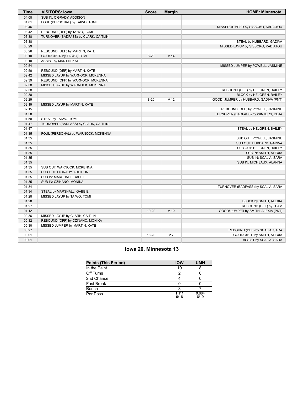| <b>Time</b> | <b>VISITORS: Iowa</b>                | <b>Score</b> | <b>Margin</b>   | <b>HOME: Minnesota</b>                |
|-------------|--------------------------------------|--------------|-----------------|---------------------------------------|
| 04:08       | SUB IN: O'GRADY, ADDISON             |              |                 |                                       |
| 04:01       | FOUL (PERSONAL) by TAIWO, TOMI       |              |                 |                                       |
| 03:46       |                                      |              |                 | MISSED JUMPER by SISSOKO, KADIATOU    |
| 03:42       | REBOUND (DEF) by TAIWO, TOMI         |              |                 |                                       |
| 03:38       | TURNOVER (BADPASS) by CLARK, CAITLIN |              |                 |                                       |
| 03:38       |                                      |              |                 | STEAL by HUBBARD, GADIVA              |
| 03:29       |                                      |              |                 | MISSED LAYUP by SISSOKO, KADIATOU     |
| 03:26       | REBOUND (DEF) by MARTIN, KATE        |              |                 |                                       |
| 03:10       | GOOD! 3PTR by TAIWO, TOMI            | $6 - 20$     | V <sub>14</sub> |                                       |
| 03:10       | ASSIST by MARTIN, KATE               |              |                 |                                       |
| 02:54       |                                      |              |                 | MISSED JUMPER by POWELL, JASMINE      |
| 02:50       | REBOUND (DEF) by MARTIN, KATE        |              |                 |                                       |
| 02:42       | MISSED LAYUP by WARNOCK, MCKENNA     |              |                 |                                       |
| 02:39       | REBOUND (OFF) by WARNOCK, MCKENNA    |              |                 |                                       |
| 02:38       | MISSED LAYUP by WARNOCK, MCKENNA     |              |                 |                                       |
| 02:38       |                                      |              |                 | REBOUND (DEF) by HELGREN, BAILEY      |
| 02:38       |                                      |              |                 | BLOCK by HELGREN, BAILEY              |
| 02:29       |                                      | $8 - 20$     | V <sub>12</sub> | GOOD! JUMPER by HUBBARD, GADIVA [PNT] |
| 02:19       | MISSED LAYUP by MARTIN, KATE         |              |                 |                                       |
| 02:15       |                                      |              |                 | REBOUND (DEF) by POWELL, JASMINE      |
| 01:58       |                                      |              |                 | TURNOVER (BADPASS) by WINTERS, DEJA   |
| 01:58       | STEAL by TAIWO, TOMI                 |              |                 |                                       |
| 01:47       | TURNOVER (BADPASS) by CLARK, CAITLIN |              |                 |                                       |
| 01:47       |                                      |              |                 | STEAL by HELGREN, BAILEY              |
| 01:35       | FOUL (PERSONAL) by WARNOCK, MCKENNA  |              |                 |                                       |
| 01:35       |                                      |              |                 | SUB OUT: POWELL, JASMINE              |
| 01:35       |                                      |              |                 | SUB OUT: HUBBARD, GADIVA              |
| 01:35       |                                      |              |                 | SUB OUT: HELGREN, BAILEY              |
| 01:35       |                                      |              |                 | SUB IN: SMITH, ALEXIA                 |
| 01:35       |                                      |              |                 | SUB IN: SCALIA, SARA                  |
| 01:35       |                                      |              |                 | SUB IN: MICHEAUX, ALANNA              |
| 01:35       | SUB OUT: WARNOCK, MCKENNA            |              |                 |                                       |
| 01:35       | SUB OUT: O'GRADY, ADDISON            |              |                 |                                       |
| 01:35       | SUB IN: MARSHALL, GABBIE             |              |                 |                                       |
| 01:35       | SUB IN: CZINANO, MONIKA              |              |                 |                                       |
| 01:34       |                                      |              |                 | TURNOVER (BADPASS) by SCALIA, SARA    |
| 01:34       | STEAL by MARSHALL, GABBIE            |              |                 |                                       |
| 01:28       | MISSED LAYUP by TAIWO, TOMI          |              |                 |                                       |
| 01:28       |                                      |              |                 | BLOCK by SMITH, ALEXIA                |
| 01:27       |                                      |              |                 | REBOUND (DEF) by TEAM                 |
| 01:12       |                                      | $10 - 20$    | $V$ 10          | GOOD! JUMPER by SMITH, ALEXIA [PNT]   |
| 00:36       | MISSED LAYUP by CLARK, CAITLIN       |              |                 |                                       |
| 00:32       | REBOUND (OFF) by CZINANO, MONIKA     |              |                 |                                       |
| 00:30       | MISSED JUMPER by MARTIN, KATE        |              |                 |                                       |
| 00:27       |                                      |              |                 | REBOUND (DEF) by SCALIA, SARA         |
| 00:01       |                                      | 13-20        | V <sub>7</sub>  | GOOD! 3PTR by SMITH, ALEXIA           |
| 00:01       |                                      |              |                 | ASSIST by SCALIA, SARA                |
|             |                                      |              |                 |                                       |

# **Iowa 20, Minnesota 13**

| <b>Points (This Period)</b> | <b>IOW</b>    | <b>UMN</b>    |
|-----------------------------|---------------|---------------|
| In the Paint                | 10            |               |
| Off Turns                   |               |               |
| 2nd Chance                  |               |               |
| Fast Break                  |               |               |
| Bench                       |               |               |
| Per Poss                    | 1 111<br>9/18 | 0.684<br>6/19 |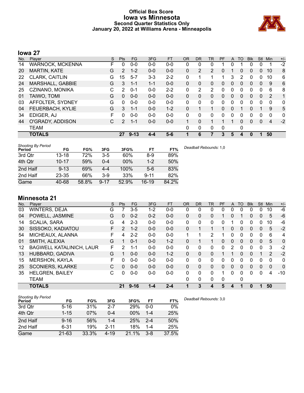# **Official Box Score Iowa vs Minnesota Second Quarter Statistics Only January 20, 2022 at Williams Arena - Minneapolis**



# **Iowa 27**

| No. | Plaver                  | S | <b>Pts</b>     | <b>FG</b> | 3FG     | <b>FT</b> | 0R           | DR             | TR.      | <b>PF</b> | A        | TO       | <b>B</b> lk | Stl          | Min      | $+/-$        |
|-----|-------------------------|---|----------------|-----------|---------|-----------|--------------|----------------|----------|-----------|----------|----------|-------------|--------------|----------|--------------|
| 14  | <b>WARNOCK, MCKENNA</b> | F | 0              | $0 - 0$   | $0 - 0$ | $0-0$     | 0            | 0              | 0        |           | 0        |          |             | 0            |          | $-2$         |
| 20  | <b>MARTIN, KATE</b>     | G | $\overline{2}$ | $1 - 2$   | $0 - 0$ | $0 - 0$   | 0            | $\overline{2}$ | 2        | 0         |          | 0        | 0           | $\mathbf{0}$ | 10       | 8            |
| 22  | CLARK, CAITLIN          | G | 15             | $5 - 7$   | $3 - 3$ | $2 - 2$   | 0            |                | 1        |           | 3        | 2        | 0           | 0            | 10       | 6            |
| 24  | MARSHALL, GABBIE        | G | 3              | $1 - 1$   | $1 - 1$ | $0 - 0$   | $\Omega$     | 0              | 0        | 0         | 0        | 0        | 0           | $\Omega$     | 9        | 6            |
| 25  | CZINANO, MONIKA         | C | 2              | $0 - 1$   | $0 - 0$ | $2 - 2$   | 0            | 2              | 2        | 0         | 0        | 0        | $\Omega$    | 0            | 6        | 8            |
| 01  | TAIWO, TOMI             | G | $\Omega$       | $0 - 0$   | $0 - 0$ | $0 - 0$   | $\mathbf{0}$ | $\Omega$       | $\Omega$ | $\Omega$  | $\Omega$ | $\Omega$ | $\Omega$    | $\mathbf{0}$ | 2        | 1            |
| 03  | AFFOLTER, SYDNEY        | G | $\Omega$       | $0 - 0$   | $0 - 0$ | $0 - 0$   | $\Omega$     | $\Omega$       | 0        | $\Omega$  | 0        | 0        | 0           | 0            | $\Omega$ | $\mathbf{0}$ |
| 04  | FEUERBACH, KYLIE        | G | 3              | $1 - 1$   | $0 - 0$ | $1 - 2$   | $\Omega$     |                |          | 0         | 0        |          | 0           |              | 9        | 5            |
| 34  | EDIGER, AJ              | F | 0              | $0 - 0$   | $0 - 0$ | $0 - 0$   | $\Omega$     | 0              | 0        | 0         | 0        | 0        | 0           | 0            | 0        | 0            |
| 44  | O'GRADY, ADDISON        | C | $\mathcal{P}$  | $1 - 1$   | $0 - 0$ | $0 - 0$   | 1            | 0              | 1        |           |          | 0        | 0           | $\Omega$     | 4        | $-2$         |
|     | <b>TEAM</b>             |   |                |           |         |           | $\Omega$     | 0              | 0        | 0         |          | 0        |             |              |          |              |
|     | <b>TOTALS</b>           |   | 27             | $9 - 13$  | $4 - 4$ | $5-6$     |              | 6              | 7        | 3         | 5        | 4        | 0           |              | 50       |              |

| <b>Shooting By Period</b><br>Period | FG        | FG%   | 3FG      | 3FG%   | FT       | FT%   |
|-------------------------------------|-----------|-------|----------|--------|----------|-------|
| 3rd Qtr                             | $13 - 18$ | 72%   | $3-5$    | 60%    | $8-9$    | 89%   |
| 4th Qtr                             | $10 - 17$ | 59%   | $0 - 4$  | $00\%$ | $1 - 2$  | 50%   |
| 2nd Half                            | $9 - 13$  | 69%   | $4 - 4$  | 100%   | $5-6$    | 83%   |
| 2nd Half                            | $23 - 35$ | 66%   | $3-9$    | 33%    | $9 - 11$ | 82%   |
| Game                                | 40-68     | 58.8% | $9 - 17$ | 52.9%  | $16-19$  | 84.2% |

# **Minnesota 21**

| No. | Player                          | S  | Pts      | FG.      | 3FG     | <b>FT</b> | <b>OR</b> | <b>DR</b>    | <b>TR</b>   | PF | A            | TO       | <b>B</b> lk | <b>Stl</b>   | Min           | $+/-$    |
|-----|---------------------------------|----|----------|----------|---------|-----------|-----------|--------------|-------------|----|--------------|----------|-------------|--------------|---------------|----------|
| 03  | <b>WINTERS, DEJA</b>            | G  |          | $3-5$    | $1 - 2$ | $0-0$     | 0         | 0            | 0           | 0  | 0            |          | 0           | 0            | 10            | $-6$     |
| 04  | POWELL, JASMINE                 | G  | $\Omega$ | $0 - 2$  | $0 - 2$ | $0 - 0$   | 0         | 0            | 0           |    | 0            |          | 0           | $\Omega$     | 5             | $-6$     |
| 14  | <b>SCALIA, SARA</b>             | G  | 4        | $2 - 3$  | $0 - 0$ | $0 - 0$   | 0         | 0            | 0           | 0  |              | 0        | 0           | 0            | 10            | -6       |
| 30  | SISSOKO, KADIATOU               | F. | 2        | $1 - 2$  | $0 - 0$ | $0 - 0$   | 0         |              | 1           |    | 0            | $\Omega$ | 0           | $\Omega$     | 5             | $-2$     |
| 54  | MICHEAUX, ALANNA                | F  | 4        | $2 - 2$  | $0 - 0$ | $0 - 0$   | 1         | 1            | 2           |    | 0            | $\Omega$ | 0           | $\Omega$     | 6             | 4        |
| 01  | SMITH, ALEXIA                   | G  |          | $0 - 1$  | $0 - 0$ | $1 - 2$   | 0         |              | $\mathbf 1$ | 0  | $\mathbf{0}$ | 0        | 0           | $\mathbf{0}$ | 5             | $\Omega$ |
| 12  | <b>BAGWELL KATALINICH, LAUR</b> | F  | 2        | 1-1      | $0 - 0$ | $0 - 0$   | 0         | 0            | 0           | 0  | 2            | ∩        | 0           | $\Omega$     | 3             | -2       |
| 13  | HUBBARD, GADIVA                 | G  |          | $0 - 0$  | $0 - 0$ | $1 - 2$   | 0         | $\Omega$     | $\Omega$    |    |              | $\Omega$ | 0           |              | $\mathcal{P}$ | $-2$     |
| 15  | <b>MERSHON, KAYLA</b>           | F  | 0        | $0 - 0$  | $0 - 0$ | $0 - 0$   | 0         | 0            | 0           | 0  | 0            | $\Omega$ | 0           | $\Omega$     | $\Omega$      | 0        |
| 25  | <b>SCONIERS, KLARKE</b>         | C  | $\Omega$ | $0 - 0$  | $0 - 0$ | $0 - 0$   | $\Omega$  | $\Omega$     | 0           | 0  | $\Omega$     | $\Omega$ | 0           | $\Omega$     | $\mathbf{0}$  | $\Omega$ |
| 35  | <b>HELGREN, BAILEY</b>          | C  | 0        | $0 - 0$  | $0 - 0$ | $0 - 0$   | $\Omega$  | 0            | $\Omega$    | 1  | 0            | $\Omega$ | 0           | $\Omega$     | 4             | $-10$    |
|     | <b>TEAM</b>                     |    |          |          |         |           | 0         | $\mathbf{0}$ | 0           | 0  |              | 0        |             |              |               |          |
|     | <b>TOTALS</b>                   |    | 21       | $9 - 16$ | 1-4     | $2 - 4$   |           | 3            | 4           | 5  | 4            |          | 0           |              | 50            |          |

| <b>Shooting By Period</b> |           |       |          |       |         |       |
|---------------------------|-----------|-------|----------|-------|---------|-------|
| Period                    | FG        | FG%   | 3FG      | 3FG%  | FT      | FT%   |
| 3rd Qtr                   | $5 - 16$  | 31%   | 2-7      | 29%   | $0 - 0$ | 0%    |
| 4th Qtr                   | $1 - 15$  | 07%   | $0 - 4$  | 00%   | $1 - 4$ | 25%   |
| 2nd Half                  | $9 - 16$  | 56%   | $1 - 4$  | 25%   | $2 - 4$ | 50%   |
| 2nd Half                  | $6 - 31$  | 19%   | $2 - 11$ | 18%   | $1 - 4$ | 25%   |
| Game                      | $21 - 63$ | 33.3% | $4 - 19$ | 21.1% | $3 - 8$ | 37.5% |

*Deadball Rebounds:* 3,0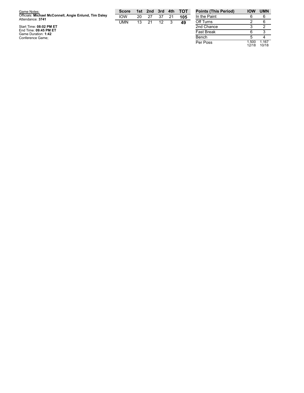| Game Notes:                                                               | <b>Score</b> |    | 1st 2nd 3rd 4th |    |    | $-$ TOT | <b>Points (This Peri</b> |
|---------------------------------------------------------------------------|--------------|----|-----------------|----|----|---------|--------------------------|
| Officials: Michael McConnell, Angie Enlund, Tim Daley<br>Attendance: 3741 | <b>IOW</b>   | 20 | 27              | 37 | 21 | 105     | In the Paint             |
|                                                                           | UMN          | 13 | 21              | 12 | -3 | 49      | Off Turns                |
| Start Time: 08:02 PM ET                                                   |              |    |                 |    |    |         | 2nd Chance               |
| End Time: 09:45 PM ET<br>Game Duration: 1:42                              |              |    |                 |    |    |         | <b>Fast Break</b>        |
| Conference Game;                                                          |              |    |                 |    |    |         | Bench                    |

| <b>Points (This Period)</b> | <b>IOW</b>     | <b>UMN</b>     |
|-----------------------------|----------------|----------------|
| In the Paint                | 6              |                |
| Off Turns                   | 2              | հ              |
| 2nd Chance                  | 3              | 2              |
| <b>Fast Break</b>           | 6              | 3              |
| Bench                       | 5              |                |
| Per Poss                    | 1.500<br>12/18 | 1.167<br>10/18 |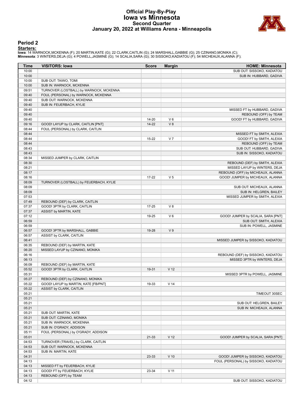# **Official Play-By-Play Iowa vs Minnesota Second Quarter January 20, 2022 at Williams Arena - Minneapolis**



# **Period 2**

#### **Starters:**

lowa: 14 WARNOCK,MCKENNA (F); 20 MARTIN,KATE (G); 22 CLARK,CAITLIN (G); 24 MARSHALL,GABBIE (G); 25 CZINANO,MONIKA (C);<br>**Minnesota**: 3 WINTERS,DEJA (G); 4 POWELL,JASMINE (G); 14 SCALIA,SARA (G); 30 SISSOKO,KADIATOU (F); 54

| Time           | <b>VISITORS: Iowa</b>                                         | <b>Score</b> | <b>Margin</b>   | <b>HOME: Minnesota</b>               |
|----------------|---------------------------------------------------------------|--------------|-----------------|--------------------------------------|
| 10:00          |                                                               |              |                 | SUB OUT: SISSOKO, KADIATOU           |
| 10:00          |                                                               |              |                 | SUB IN: HUBBARD, GADIVA              |
| 10:00          | SUB OUT: TAIWO, TOMI                                          |              |                 |                                      |
| 10:00          | SUB IN: WARNOCK, MCKENNA                                      |              |                 |                                      |
| 09:51          | TURNOVER (LOSTBALL) by WARNOCK, MCKENNA                       |              |                 |                                      |
| 09:40          | FOUL (PERSONAL) by WARNOCK, MCKENNA                           |              |                 |                                      |
| 09:40          | SUB OUT: WARNOCK, MCKENNA                                     |              |                 |                                      |
| 09:40          | SUB IN: FEUERBACH, KYLIE                                      |              |                 |                                      |
| 09:40          |                                                               |              |                 | MISSED FT by HUBBARD, GADIVA         |
| 09:40          |                                                               |              |                 | REBOUND (OFF) by TEAM                |
| 09:40          |                                                               | 14-20        | $V_6$           | GOOD! FT by HUBBARD, GADIVA          |
| 09:16          | GOOD! LAYUP by CLARK, CAITLIN [PNT]                           | $14 - 22$    | V8              |                                      |
| 08:44          | FOUL (PERSONAL) by CLARK, CAITLIN                             |              |                 |                                      |
| 08:44          |                                                               |              |                 | MISSED FT by SMITH, ALEXIA           |
| 08:44          |                                                               | $15 - 22$    | V <sub>7</sub>  | GOOD! FT by SMITH, ALEXIA            |
| 08:44          |                                                               |              |                 | REBOUND (OFF) by TEAM                |
| 08:43          |                                                               |              |                 | SUB OUT: HUBBARD, GADIVA             |
| 08:43          |                                                               |              |                 | SUB IN: SISSOKO, KADIATOU            |
| 08:34          | MISSED JUMPER by CLARK, CAITLIN                               |              |                 |                                      |
| 08:30          |                                                               |              |                 | REBOUND (DEF) by SMITH, ALEXIA       |
| 08:21          |                                                               |              |                 | MISSED LAYUP by WINTERS, DEJA        |
| 08:17          |                                                               |              |                 | REBOUND (OFF) by MICHEAUX, ALANNA    |
| 08:16          |                                                               | $17 - 22$    | V <sub>5</sub>  | GOOD! JUMPER by MICHEAUX, ALANNA     |
| 08:09          | TURNOVER (LOSTBALL) by FEUERBACH, KYLIE                       |              |                 |                                      |
| 08:09          |                                                               |              |                 | SUB OUT: MICHEAUX, ALANNA            |
| 08:09          |                                                               |              |                 | SUB IN: HELGREN, BAILEY              |
| 07:53          |                                                               |              |                 | MISSED JUMPER by SMITH, ALEXIA       |
| 07:49          | REBOUND (DEF) by CLARK, CAITLIN                               |              |                 |                                      |
| 07:37          | GOOD! 3PTR by CLARK, CAITLIN                                  | $17 - 25$    | V8              |                                      |
| 07:37          | ASSIST by MARTIN, KATE                                        |              |                 |                                      |
| 07:12          |                                                               | 19-25        | $V_6$           | GOOD! JUMPER by SCALIA, SARA [PNT]   |
| 06:59          |                                                               |              |                 | SUB OUT: SMITH, ALEXIA               |
| 06:59          |                                                               |              |                 | SUB IN: POWELL, JASMINE              |
| 06:57          | GOOD! 3PTR by MARSHALL, GABBIE                                | 19-28        | V <sub>9</sub>  |                                      |
| 06:57          | ASSIST by CLARK, CAITLIN                                      |              |                 |                                      |
| 06:41          |                                                               |              |                 | MISSED JUMPER by SISSOKO, KADIATOU   |
| 06:35          | REBOUND (DEF) by MARTIN, KATE                                 |              |                 |                                      |
| 06:20<br>06:16 | MISSED LAYUP by CZINANO, MONIKA                               |              |                 |                                      |
|                |                                                               |              |                 | REBOUND (DEF) by SISSOKO, KADIATOU   |
| 06:13          |                                                               |              |                 | MISSED 3PTR by WINTERS, DEJA         |
| 06:09<br>05:52 | REBOUND (DEF) by MARTIN, KATE<br>GOOD! 3PTR by CLARK, CAITLIN | 19-31        | V <sub>12</sub> |                                      |
| 05:31          |                                                               |              |                 | MISSED 3PTR by POWELL, JASMINE       |
| 05:27          | REBOUND (DEF) by CZINANO, MONIKA                              |              |                 |                                      |
| 05:22          | GOOD! LAYUP by MARTIN, KATE [FB/PNT]                          | 19-33        | V <sub>14</sub> |                                      |
| 05:22          | ASSIST by CLARK, CAITLIN                                      |              |                 |                                      |
| 05:21          |                                                               |              |                 | TIMEOUT 30SEC                        |
| 05:21          |                                                               |              |                 |                                      |
| 05:21          |                                                               |              |                 | SUB OUT: HELGREN, BAILEY             |
| 05:21          |                                                               |              |                 | SUB IN: MICHEAUX, ALANNA             |
| 05:21          | SUB OUT: MARTIN, KATE                                         |              |                 |                                      |
| 05:21          | SUB OUT: CZINANO, MONIKA                                      |              |                 |                                      |
| 05:21          | SUB IN: WARNOCK, MCKENNA                                      |              |                 |                                      |
| 05:21          | SUB IN: O'GRADY, ADDISON                                      |              |                 |                                      |
| 05:11          | FOUL (PERSONAL) by O'GRADY, ADDISON                           |              |                 |                                      |
| 05:01          |                                                               | 21-33        | V <sub>12</sub> | GOOD! JUMPER by SCALIA, SARA [PNT]   |
| 04:53          | TURNOVER (TRAVEL) by CLARK, CAITLIN                           |              |                 |                                      |
| 04:53          | SUB OUT: WARNOCK, MCKENNA                                     |              |                 |                                      |
| 04:53          | SUB IN: MARTIN, KATE                                          |              |                 |                                      |
| 04:31          |                                                               | 23-33        | $V$ 10          | GOOD! JUMPER by SISSOKO, KADIATOU    |
| 04:13          |                                                               |              |                 | FOUL (PERSONAL) by SISSOKO, KADIATOU |
| 04:13          | MISSED FT by FEUERBACH, KYLIE                                 |              |                 |                                      |
| 04:13          | GOOD! FT by FEUERBACH, KYLIE                                  | 23-34        | V <sub>11</sub> |                                      |
| 04:13          | REBOUND (OFF) by TEAM                                         |              |                 |                                      |
| 04:12          |                                                               |              |                 | SUB OUT: SISSOKO, KADIATOU           |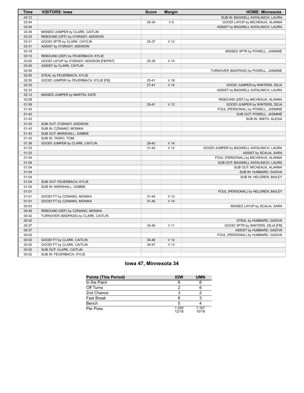| Time  | <b>VISITORS: Iowa</b>                    | <b>Score</b> | <b>Margin</b>   | <b>HOME: Minnesota</b>                    |
|-------|------------------------------------------|--------------|-----------------|-------------------------------------------|
| 04:12 |                                          |              |                 | SUB IN: BAGWELL KATALINICH, LAURA         |
| 03:54 |                                          | 25-34        | V <sub>9</sub>  | GOOD! LAYUP by MICHEAUX, ALANNA           |
| 03:54 |                                          |              |                 | ASSIST by BAGWELL KATALINICH, LAURA       |
| 03:36 | MISSED JUMPER by CLARK, CAITLIN          |              |                 |                                           |
| 03:33 | REBOUND (OFF) by O'GRADY, ADDISON        |              |                 |                                           |
| 03:31 | GOOD! 3PTR by CLARK, CAITLIN             | 25-37        | V <sub>12</sub> |                                           |
| 03:31 | ASSIST by O'GRADY, ADDISON               |              |                 |                                           |
| 03:16 |                                          |              |                 | MISSED 3PTR by POWELL, JASMINE            |
| 03:12 | REBOUND (DEF) by FEUERBACH, KYLIE        |              |                 |                                           |
| 03:05 | GOOD! LAYUP by O'GRADY, ADDISON [FB/PNT] | 25-39        | V <sub>14</sub> |                                           |
| 03:05 | <b>ASSIST by CLARK, CAITLIN</b>          |              |                 |                                           |
| 02:55 |                                          |              |                 | TURNOVER (BADPASS) by POWELL, JASMINE     |
| 02:55 | STEAL by FEUERBACH, KYLIE                |              |                 |                                           |
| 02:50 | GOOD! JUMPER by FEUERBACH, KYLIE [FB]    | $25 - 41$    | $V$ 16          |                                           |
| 02:33 |                                          | $27-41$      | V <sub>14</sub> | GOOD! JUMPER by WINTERS, DEJA             |
| 02:33 |                                          |              |                 | ASSIST by BAGWELL KATALINICH, LAURA       |
| 02:12 | MISSED JUMPER by MARTIN, KATE            |              |                 |                                           |
| 02:08 |                                          |              |                 | REBOUND (DEF) by MICHEAUX, ALANNA         |
| 01:59 |                                          | 29-41        | V <sub>12</sub> | GOOD! JUMPER by WINTERS, DEJA             |
| 01:43 |                                          |              |                 | FOUL (PERSONAL) by POWELL, JASMINE        |
| 01:43 |                                          |              |                 | SUB OUT: POWELL, JASMINE                  |
| 01:43 |                                          |              |                 | SUB IN: SMITH, ALEXIA                     |
| 01:43 | SUB OUT: O'GRADY, ADDISON                |              |                 |                                           |
| 01:43 | SUB IN: CZINANO, MONIKA                  |              |                 |                                           |
| 01:43 | SUB OUT: MARSHALL, GABBIE                |              |                 |                                           |
| 01:43 | SUB IN: TAIWO, TOMI                      |              |                 |                                           |
| 01:38 | GOOD! JUMPER by CLARK, CAITLIN           | 29-43        | V <sub>14</sub> |                                           |
| 01:23 |                                          | 31-43        | V <sub>12</sub> | GOOD! JUMPER by BAGWELL KATALINICH, LAURA |
| 01:23 |                                          |              |                 | ASSIST by SCALIA, SARA                    |
| 01:04 |                                          |              |                 | FOUL (PERSONAL) by MICHEAUX, ALANNA       |
| 01:04 |                                          |              |                 | SUB OUT: BAGWELL KATALINICH, LAURA        |
| 01:04 |                                          |              |                 | SUB OUT: MICHEAUX, ALANNA                 |
| 01:04 |                                          |              |                 | SUB IN: HUBBARD, GADIVA                   |
| 01:04 |                                          |              |                 | SUB IN: HELGREN, BAILEY                   |
| 01:04 | SUB OUT: FEUERBACH, KYLIE                |              |                 |                                           |
| 01:04 | SUB IN: MARSHALL, GABBIE                 |              |                 |                                           |
| 01:01 |                                          |              |                 | FOUL (PERSONAL) by HELGREN, BAILEY        |
| 01:01 | GOOD! FT by CZINANO, MONIKA              | $31 - 44$    | V <sub>13</sub> |                                           |
| 01:01 | GOOD! FT by CZINANO, MONIKA              | $31 - 45$    | V <sub>14</sub> |                                           |
| 00:53 |                                          |              |                 | MISSED LAYUP by SCALIA, SARA              |
| 00:49 | REBOUND (DEF) by CZINANO, MONIKA         |              |                 |                                           |
| 00:42 | TURNOVER (BADPASS) by CLARK, CAITLIN     |              |                 |                                           |
| 00:42 |                                          |              |                 | STEAL by HUBBARD, GADIVA                  |
| 00:37 |                                          | 34-45        | V <sub>11</sub> | GOOD! 3PTR by WINTERS, DEJA [FB]          |
| 00:37 |                                          |              |                 | ASSIST by HUBBARD, GADIVA                 |
| 00:02 |                                          |              |                 | FOUL (PERSONAL) by HUBBARD, GADIVA        |
| 00:02 | GOOD! FT by CLARK, CAITLIN               | 34-46        | V <sub>12</sub> |                                           |
| 00:02 | GOOD! FT by CLARK, CAITLIN               | 34-47        | V <sub>13</sub> |                                           |
| 00:02 | SUB OUT: CLARK, CAITLIN                  |              |                 |                                           |
| 00:02 | SUB IN: FEUERBACH, KYLIE                 |              |                 |                                           |

# **Iowa 47, Minnesota 34**

| <b>Points (This Period)</b> | <b>IOW</b>     | <b>UMN</b>     |
|-----------------------------|----------------|----------------|
| In the Paint                |                |                |
| Off Turns                   |                |                |
| 2nd Chance                  |                |                |
| <b>Fast Break</b>           |                |                |
| Bench                       |                |                |
| Per Poss                    | 1.500<br>12/18 | 1.167<br>10/18 |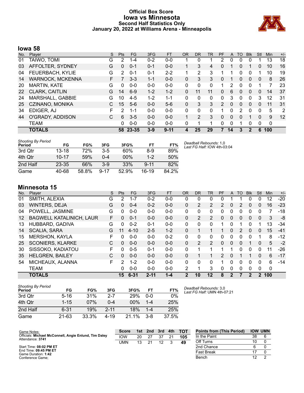# **Official Box Score Iowa vs Minnesota Second Half Statistics Only January 20, 2022 at Williams Arena - Minneapolis**



# **Iowa 58**

| No. | Player                  | S  | Pts      | FG.     | 3FG     | <b>FT</b> | <b>OR</b> | <b>DR</b> | TR       | PF            | A  | TO       | <b>Blk</b> | Stl | <b>Min</b> | $+/-$          |
|-----|-------------------------|----|----------|---------|---------|-----------|-----------|-----------|----------|---------------|----|----------|------------|-----|------------|----------------|
| 01  | TAIWO, TOMI             | G  | 2        | $1 - 4$ | $0 - 2$ | $0-0$     |           | 0         |          | 2             | 0  | 0        | 0          |     | 13         | 18             |
| 03  | AFFOLTER, SYDNEY        | G  | $\Omega$ | $0 - 1$ | 0-1     | $0 - 0$   |           | 3         | 4        | 0             |    | 0        |            | 0   | 10         | 16             |
| 04  | FEUERBACH, KYLIE        | G  | 2        | $0 - 1$ | $0 - 1$ | $2 - 2$   |           | 2         | 3        |               |    | 0        | 0          | 1   | 10         | 19             |
| 14  | <b>WARNOCK, MCKENNA</b> | F. |          | $3 - 3$ | $1 - 1$ | $0 - 0$   | 0         | 3         | 3        | 0             |    | 0        | 0          | 0   | 8          | 26             |
| 20  | <b>MARTIN, KATE</b>     | G  | $\Omega$ | $0 - 0$ | $0 - 0$ | $0 - 0$   | 0         | 0         | 0        |               | 2  | 0        | 0          | 1   | 7          | 23             |
| 22  | CLARK, CAITLIN          | G  | 14       | $6-9$   | $1 - 2$ | $1 - 2$   | 0         | 11        | 11       | 0             | 6  | $\Omega$ | 0          | 0   | 14         | 37             |
| 24  | MARSHALL, GABBIE        | G  | 10       | $4 - 5$ | $1 - 2$ | $1 - 1$   | $\Omega$  | 0         | 0        | $\Omega$      | 3  | $\Omega$ | $\Omega$   | 3   | 12         | 31             |
| 25  | CZINANO, MONIKA         | C. | 15       | $5-6$   | $0 - 0$ | $5-6$     | 0         | 3         | 3        | $\mathcal{P}$ | 0  | $\Omega$ | $\Omega$   | 0   | 11         | 31             |
| 34  | EDIGER, AJ              | F  | 2        | $1 - 1$ | $0 - 0$ | $0 - 0$   | $\Omega$  | 0         | $\Omega$ |               | 0  | 2        | $\Omega$   | 0   | 5          | $\overline{2}$ |
| 44  | O'GRADY, ADDISON        | C  | 6        | $3 - 5$ | $0 - 0$ | $0 - 0$   |           | 2         | 3        | $\Omega$      | 0  | $\Omega$ |            | 0   | 9          | 12             |
|     | <b>TEAM</b>             |    | 0        | $0 - 0$ | $0 - 0$ | $0 - 0$   | 0         | 1         | 1        | 0             | 0  |          | 0          | 0   | 0          |                |
|     | <b>TOTALS</b>           |    | 58       | 23-35   | $3 - 9$ | $9 - 11$  | 4         | 25        | 29       | 7             | 14 | 3        |            | 6   | 100        |                |

| <b>Shooting By Period</b><br>Period | FG        | FG%   | 3FG      | 3FG%  | FT       | FT%   | Deadball Rebounds: 1,0<br>Last FG Half: $10W$ 4th-03:04 |
|-------------------------------------|-----------|-------|----------|-------|----------|-------|---------------------------------------------------------|
| 3rd Qtr                             | 13-18     | 72%   | $3-5$    | 60%   | $8-9$    | 89%   |                                                         |
| 4th Qtr                             | $10 - 17$ | 59%   | $0 - 4$  | 00%   | $1 - 2$  | 50%   |                                                         |
| 2nd Half                            | $23 - 35$ | 66%   | $3-9$    | 33%   | $9 - 11$ | 82%   |                                                         |
| Game                                | 40-68     | 58.8% | $9 - 17$ | 52.9% | $16-19$  | 84.2% |                                                         |

# **Minnesota 15**

| No. | Player                          | S | <b>Pts</b> | FG       | 3FG      | <b>FT</b> | <b>OR</b>    | DR | <b>TR</b> | PF                    | A            | TO       | <b>B</b> lk  | Stl         | Min | $+/-$ |
|-----|---------------------------------|---|------------|----------|----------|-----------|--------------|----|-----------|-----------------------|--------------|----------|--------------|-------------|-----|-------|
| 01  | SMITH, ALEXIA                   | G | 2          | $1 - 7$  | $0 - 2$  | $0 - 0$   | 0            | 0  | 0         | 0                     |              |          | 0            | 0           | 12  | $-20$ |
| 03  | <b>WINTERS, DEJA</b>            | G | 0          | $0 - 4$  | $0 - 2$  | $0 - 0$   | 0            | 2  | 2         | $\mathbf{2}^{\prime}$ | 0            | 2        | 0            | 0           | 16  | $-23$ |
| 04  | POWELL, JASMINE                 | G | 0          | $0-0$    | $0 - 0$  | $0 - 0$   | 0            | 0  | 0         | 0                     | 0            | 0        | 0            | 0           |     | $-18$ |
| 12  | <b>BAGWELL KATALINICH, LAUR</b> | F | 0          | $0 - 1$  | $0 - 0$  | $0 - 0$   | 0            | 2  | 2         | 0                     | 0            | 0        | $\mathbf{0}$ | $\Omega$    | 3   | -8    |
| 13  | HUBBARD, GADIVA                 | G | 0          | $0 - 2$  | $0 - 1$  | $0 - 0$   | 0            | 0  | $\Omega$  |                       | $\Omega$     | 1        | $\Omega$     |             | 13  | -34   |
| 14  | <b>SCALIA, SARA</b>             | G | 11         | $4 - 10$ | $2 - 5$  | $1 - 2$   | 0            |    |           |                       | $\Omega$     | 2        | $\Omega$     | $\Omega$    | 15  | $-41$ |
| 15  | <b>MERSHON, KAYLA</b>           | F | 0          | $0-0$    | $0 - 0$  | $0 - 2$   | 0            | 0  | 0         | 0                     | 0            | 0        | 0            |             | 8   | $-12$ |
| 25  | <b>SCONIERS, KLARKE</b>         | С | 0          | $0 - 0$  | $0 - 0$  | $0 - 0$   | $\Omega$     | 2  | 2         | $\Omega$              | $\Omega$     | $\Omega$ |              | 0           | 5   | $-2$  |
| 30  | SISSOKO, KADIATOU               | F | 0          | $0 - 5$  | $0 - 1$  | $0 - 0$   | 0            |    |           |                       |              | 0        | $\Omega$     | 0           | 11  | $-26$ |
| 35  | <b>HELGREN, BAILEY</b>          | С | 0          | $0 - 0$  | $0 - 0$  | $0 - 0$   | 0            |    |           | $\mathcal{P}$         | 0            |          |              | 0           | 6   | $-17$ |
| 54  | MICHEAUX, ALANNA                | F | 2          | $1 - 2$  | $0 - 0$  | $0 - 0$   | 0            | 0  | $\Omega$  |                       | $\Omega$     | 0        | 0            | $\Omega$    | 6   | $-14$ |
|     | <b>TEAM</b>                     |   | 0          | $0 - 0$  | $0 - 0$  | $0 - 0$   | 2            |    | 3         | 0                     | 0            | 0        | $\mathbf{0}$ | 0           | 0   |       |
|     | <b>TOTALS</b>                   |   | 15         | $6 - 31$ | $2 - 11$ | $1 - 4$   | $\mathbf{2}$ | 10 | 12        | 8                     | $\mathbf{2}$ |          | 2            | $2^{\circ}$ | 100 |       |

| <b>Shooting By Period</b><br>Period | FG        | FG%   | 3FG      | 3FG%       | FT      | FT%   | Deadball Rebounds: 3,0<br>Last FG Half: UMN 4th-07:21 |
|-------------------------------------|-----------|-------|----------|------------|---------|-------|-------------------------------------------------------|
| 3rd Qtr                             | $5 - 16$  | 31%   | $2 - 7$  | <b>29%</b> | $0 - 0$ | 0%    |                                                       |
| 4th Otr                             | $1 - 15$  | 07%   | 0-4      | $00\%$     | $1 - 4$ | 25%   |                                                       |
| 2nd Half                            | $6 - 31$  | 19%   | $2 - 11$ | 18%        | 1-4     | 25%   |                                                       |
| Game                                | $21 - 63$ | 33.3% | 4-19     | $21.1\%$   | $3 - 8$ | 37.5% |                                                       |

| Game Notes:                                                               | <b>Score</b> | 1st | 2nd | 3rd | 4th | <b>TOT</b> | <b>Points from (This Period)</b> |    | <b>IOW UMN</b> |
|---------------------------------------------------------------------------|--------------|-----|-----|-----|-----|------------|----------------------------------|----|----------------|
| Officials: Michael McConnell, Angie Enlund, Tim Daley<br>Attendance: 3741 | <b>IOW</b>   | 20  | 27  | 27  |     | 105        | In the Paint                     | 38 |                |
|                                                                           | UMN          | 13  | 21  |     |     | 49         | Off Turns                        | 10 |                |
| Start Time: 08:02 PM ET                                                   |              |     |     |     |     |            | 2nd Chance                       |    |                |
| End Time: 09:45 PM ET<br>Game Duration: 1:42                              |              |     |     |     |     |            | <b>Fast Break</b>                |    |                |
| Conference Game;                                                          |              |     |     |     |     |            | Bench                            | 12 |                |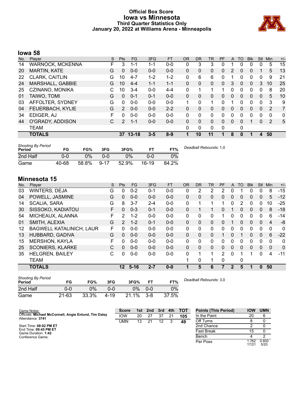# **Official Box Score Iowa vs Minnesota Third Quarter Statistics Only January 20, 2022 at Williams Arena - Minneapolis**



# **Iowa 58**

| No. | Player                  | S  | Pts           | <b>FG</b> | 3FG     | <b>FT</b> | <b>OR</b> | <b>DR</b>    | <b>TR</b> | PF       | A        | TO       | <b>Blk</b> | Stl      | Min      | $+/-$ |
|-----|-------------------------|----|---------------|-----------|---------|-----------|-----------|--------------|-----------|----------|----------|----------|------------|----------|----------|-------|
| 14  | <b>WARNOCK, MCKENNA</b> | F  | 3             | 1-1       | 1-1     | $0 - 0$   | 0         | 3            | 3         | 0        |          | 0        | 0          | 0        | 5        | 15    |
| 20  | <b>MARTIN, KATE</b>     | G  | 0             | $0 - 0$   | $0-0$   | $0 - 0$   | $\Omega$  | 0            | 0         | 0        | 2        | $\Omega$ | 0          |          | 5        | 13    |
| 22  | <b>CLARK, CAITLIN</b>   | G  | 10            | $4 - 7$   | $1 - 2$ | $1 - 2$   | $\Omega$  | 6            | 6         | 0        |          | 0        | 0          | 0        | 9        | 21    |
| 24  | MARSHALL, GABBIE        | G  | 10            | $4 - 4$   | $1 - 1$ | $1 - 1$   | $\Omega$  | 0            | 0         | 0        | 3        | $\Omega$ | 0          | 3        | 10       | 25    |
| 25  | CZINANO, MONIKA         | C. | 10            | $3 - 4$   | $0 - 0$ | $4 - 4$   | 0         |              | 1         |          | 0        | $\Omega$ | 0          | 0        | 8        | 20    |
| 01  | TAIWO, TOMI             | G  | $\Omega$      | $0 - 1$   | $0 - 1$ | $0 - 0$   | $\Omega$  | 0            | 0         | 0        | $\Omega$ | $\Omega$ | $\Omega$   | $\Omega$ | 5        | 10    |
| 03  | AFFOLTER, SYDNEY        | G  | $\Omega$      | $0 - 0$   | $0 - 0$ | $0 - 0$   | 1         | 0            | 1         | 0        |          | 0        | 0          | 0        | 3        | 9     |
| 04  | FEUERBACH, KYLIE        | G  | 2             | $0 - 0$   | $0 - 0$ | $2 - 2$   | $\Omega$  | 0            | 0         | 0        | $\Omega$ | 0        | 0          | $\Omega$ | 2        | 7     |
| 34  | EDIGER, AJ              | F  | U             | $0 - 0$   | $0 - 0$ | $0 - 0$   | 0         | 0            | 0         | 0        | $\Omega$ | $\Omega$ | 0          | $\Omega$ | $\Omega$ | 0     |
| 44  | O'GRADY, ADDISON        | C  | $\mathcal{P}$ | $1 - 1$   | $0 - 0$ | $0 - 0$   | $\Omega$  | $\Omega$     | $\Omega$  | 0        | $\Omega$ | $\Omega$ | 1          | $\Omega$ | 2        | 5     |
|     | <b>TEAM</b>             |    |               |           |         |           | $\Omega$  | $\mathbf{0}$ | 0         | $\Omega$ |          | 0        |            |          |          |       |
|     | <b>TOTALS</b>           |    |               | 37 13-18  | $3 - 5$ | $8-9$     | 1         | 10           | 11        | 1        | 8        | $\bf{0}$ | 1          | 4        | 50       |       |
|     |                         |    |               |           |         |           |           |              |           |          |          |          |            |          |          |       |

| <b>Shooting By Period</b><br>Period | FG    | FG%   | 3FG      | 3FG%  |       | FT%   | Deadball Rebounds: 1,0 |
|-------------------------------------|-------|-------|----------|-------|-------|-------|------------------------|
| 2nd Half                            | 0-0   | 0%    | 0-0      | $0\%$ | 0-0   | 0%    |                        |
| Game                                | 40-68 | 58.8% | $9 - 17$ | 52.9% | 16-19 | 84.2% |                        |

# **Minnesota 15**

| No. | Player                          | S  | <b>Pts</b>      | FG.      | 3FG     | <b>FT</b> | <b>OR</b> | <b>DR</b> | <b>TR</b>    | PF | A            | TO       | <b>B</b> lk | <b>Stl</b>   | Min      | $+/-$    |
|-----|---------------------------------|----|-----------------|----------|---------|-----------|-----------|-----------|--------------|----|--------------|----------|-------------|--------------|----------|----------|
| 03  | <b>WINTERS, DEJA</b>            | G  | 0               | $0 - 2$  | 0-1     | $0-0$     | 0         | 2         | 2            | 2  | 0            |          | 0           | 0            | 8        | $-15$    |
| 04  | POWELL, JASMINE                 | G  | $\Omega$        | $0 - 0$  | $0 - 0$ | $0 - 0$   | 0         | 0         | 0            | 0  | $\mathbf{0}$ | $\Omega$ | 0           | $\mathbf{0}$ | 5        | $-12$    |
| 14  | <b>SCALIA, SARA</b>             | G  | 8               | $3 - 7$  | $2 - 4$ | $0 - 0$   | 0         |           | 1            |    | 0            | 2        | 0           | 0            | 10       | $-25$    |
| 30  | SISSOKO, KADIATOU               | F  | 0               | $0 - 3$  | $0 - 1$ | $0 - 0$   | 0         |           | 1.           | 0  |              | $\Omega$ | 0           | $\mathbf{0}$ | 8        | $-18$    |
| 54  | MICHEAUX, ALANNA                | F. | 2               | $1 - 2$  | $0 - 0$ | $0 - 0$   | 0         | 0         | $\mathbf{0}$ |    | 0            | 0        | 0           | 0            | 6        | $-14$    |
| 01  | SMITH, ALEXIA                   | G  | $\overline{2}$  | $1 - 2$  | $0 - 1$ | $0 - 0$   | 0         | 0         | $\Omega$     | 0  |              | $\Omega$ | 0           | $\mathbf{0}$ | 4        | -8       |
| 12  | <b>BAGWELL KATALINICH, LAUR</b> | F. | 0               | $0 - 0$  | $0 - 0$ | $0-0$     | 0         | 0         | $\mathbf{0}$ | 0  | 0            | $\Omega$ | 0           | $\Omega$     | $\Omega$ | 0        |
| 13  | HUBBARD, GADIVA                 | G  | $\Omega$        | $0 - 0$  | $0 - 0$ | $0 - 0$   | $\Omega$  | 0         | 0            |    | 0            |          | 0           | $\mathbf{0}$ | 6        | $-22$    |
| 15  | <b>MERSHON, KAYLA</b>           | F. | 0               | $0 - 0$  | $0 - 0$ | $0-0$     | 0         | 0         | $\mathbf{0}$ | 0  | 0            | ∩        | 0           | $\Omega$     | $\Omega$ | 0        |
| 25  | <b>SCONIERS, KLARKE</b>         | C  | 0               | $0 - 0$  | $0 - 0$ | $0 - 0$   | $\Omega$  | 0         | $\mathbf{0}$ | 0  | $\Omega$     | $\Omega$ | $\Omega$    | $\Omega$     | $\Omega$ | $\Omega$ |
| 35  | <b>HELGREN, BAILEY</b>          | С  | $\Omega$        | $0-0$    | $0 - 0$ | $0 - 0$   | 0         |           | 1            | 2  | 0            |          |             | $\Omega$     | 4        | $-11$    |
|     | TEAM                            |    |                 |          |         |           |           | 0         | 1            | 0  |              | 0        |             |              |          |          |
|     | <b>TOTALS</b>                   |    | 12 <sup>2</sup> | $5 - 16$ | $2 - 7$ | $0 - 0$   | 1         | 5         | 6            | 7  | $\mathbf{2}$ | 5        | 1           | $\mathbf{0}$ | 50       |          |

| <b>Shooting By Period</b><br>Period | FG        | FG%   | 3FG  | 3FG%  | FT      | FT%   | Deadball Rebounds: 3,0 |
|-------------------------------------|-----------|-------|------|-------|---------|-------|------------------------|
| 2nd Half                            | 0-0       | 0%    | 0-0  | ገ%    | $0 - 0$ | 0%    |                        |
| Game                                | $21 - 63$ | 33.3% | 4-19 | 21.1% | $3 - 8$ | 37.5% |                        |

| Game Notes:                                                               | <b>Score</b> |    | 1st 2nd | 3rd | 4th | <b>TOT</b> | <b>Points (This Period)</b> | <b>IOW</b>    | <b>UMN</b>    |
|---------------------------------------------------------------------------|--------------|----|---------|-----|-----|------------|-----------------------------|---------------|---------------|
| Officials: Michael McConnell, Angie Enlund, Tim Daley<br>Attendance: 3741 | <b>IOW</b>   | 20 |         | 37  | 21  | 105        | In the Paint                | 20            | 6             |
|                                                                           | UMN          | 13 | 21      | 12  |     | 49         | Off Turns                   |               |               |
| Start Time: 08:02 PM ET                                                   |              |    |         |     |     |            | 2nd Chance                  |               |               |
| End Time: 09:45 PM ET<br>Game Duration: 1:42                              |              |    |         |     |     |            | Fast Break                  | 15            |               |
| Conference Game:                                                          |              |    |         |     |     |            | Bench                       |               |               |
|                                                                           |              |    |         |     |     |            | Per Poss                    | .762<br>17/21 | 0.600<br>5/20 |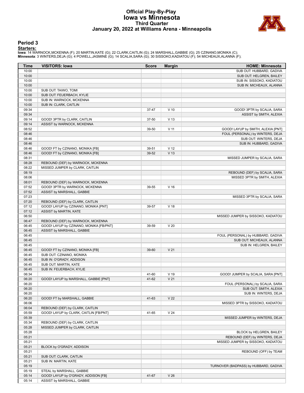# **Official Play-By-Play Iowa vs Minnesota Third Quarter January 20, 2022 at Williams Arena - Minneapolis**



# **Period 3**

**Starters:**<br>Iowa: 14 WARNOCK,MCKENNA (F); 20 MARTIN,KATE (G); 22 CLARK,CAITLIN (G); 24 MARSHALL,GABBIE (G); 25 CZINANO,MONIKA (C);<br>**Minnesota**: 3 WINTERS,DEJA (G); 4 POWELL,JASMINE (G); 14 SCALIA,SARA (G); 30 SISSOKO,KADIA

| Time           | <b>VISITORS: Iowa</b>                   | <b>Score</b> | <b>Margin</b>   | <b>HOME: Minnesota</b>                                          |
|----------------|-----------------------------------------|--------------|-----------------|-----------------------------------------------------------------|
| 10:00          |                                         |              |                 | SUB OUT: HUBBARD, GADIVA                                        |
| 10:00          |                                         |              |                 | SUB OUT: HELGREN, BAILEY                                        |
| 10:00          |                                         |              |                 | SUB IN: SISSOKO, KADIATOU                                       |
| 10:00          |                                         |              |                 | SUB IN: MICHEAUX, ALANNA                                        |
| 10:00          | SUB OUT: TAIWO, TOMI                    |              |                 |                                                                 |
| 10:00          | SUB OUT: FEUERBACH, KYLIE               |              |                 |                                                                 |
| 10:00          | SUB IN: WARNOCK, MCKENNA                |              |                 |                                                                 |
| 10:00          | SUB IN: CLARK, CAITLIN                  |              |                 |                                                                 |
| 09:34          |                                         | 37-47        | $V$ 10          | GOOD! 3PTR by SCALIA, SARA                                      |
| 09:34          |                                         |              |                 | ASSIST by SMITH, ALEXIA                                         |
| 09:14          | GOOD! 3PTR by CLARK, CAITLIN            | 37-50        | V <sub>13</sub> |                                                                 |
| 09:14          | ASSIST by WARNOCK, MCKENNA              |              |                 |                                                                 |
| 08:52          |                                         | 39-50        | $V$ 11          | GOOD! LAYUP by SMITH, ALEXIA [PNT]                              |
| 08:46          |                                         |              |                 | FOUL (PERSONAL) by WINTERS, DEJA                                |
| 08:46          |                                         |              |                 | SUB OUT: WINTERS, DEJA                                          |
| 08:46          |                                         |              |                 | SUB IN: HUBBARD, GADIVA                                         |
| 08:46          | GOOD! FT by CZINANO, MONIKA [FB]        | 39-51        | V <sub>12</sub> |                                                                 |
| 08:46          | GOOD! FT by CZINANO, MONIKA [FB]        | 39-52        | V <sub>13</sub> |                                                                 |
| 08:31          |                                         |              |                 | MISSED JUMPER by SCALIA, SARA                                   |
| 08:28          | REBOUND (DEF) by WARNOCK, MCKENNA       |              |                 |                                                                 |
| 08:22          | MISSED JUMPER by CLARK, CAITLIN         |              |                 |                                                                 |
| 08:19          |                                         |              |                 | REBOUND (DEF) by SCALIA, SARA                                   |
| 08:06          |                                         |              |                 | MISSED 3PTR by SMITH, ALEXIA                                    |
| 08:01          | REBOUND (DEF) by WARNOCK, MCKENNA       |              |                 |                                                                 |
| 07:52          | GOOD! 3PTR by WARNOCK, MCKENNA          | 39-55        | V <sub>16</sub> |                                                                 |
| 07:52          | ASSIST by MARSHALL, GABBIE              |              |                 |                                                                 |
| 07:23          |                                         |              |                 | MISSED 3PTR by SCALIA, SARA                                     |
| 07:20          | REBOUND (DEF) by CLARK, CAITLIN         |              |                 |                                                                 |
| 07:12          | GOOD! LAYUP by CZINANO, MONIKA [PNT]    | 39-57        | V <sub>18</sub> |                                                                 |
| 07:12          | ASSIST by MARTIN, KATE                  |              |                 |                                                                 |
| 06:50<br>06:47 |                                         |              |                 | MISSED JUMPER by SISSOKO, KADIATOU                              |
|                | REBOUND (DEF) by WARNOCK, MCKENNA       |              | V <sub>20</sub> |                                                                 |
| 06:45<br>06:45 | GOOD! LAYUP by CZINANO, MONIKA [FB/PNT] | 39-59        |                 |                                                                 |
|                | ASSIST by MARSHALL, GABBIE              |              |                 |                                                                 |
| 06:45<br>06:45 |                                         |              |                 | FOUL (PERSONAL) by HUBBARD, GADIVA<br>SUB OUT: MICHEAUX, ALANNA |
| 06:45          |                                         |              |                 | SUB IN: HELGREN, BAILEY                                         |
| 06:45          | GOOD! FT by CZINANO, MONIKA [FB]        | 39-60        | V <sub>21</sub> |                                                                 |
| 06:45          | SUB OUT: CZINANO, MONIKA                |              |                 |                                                                 |
| 06:45          | SUB IN: O'GRADY, ADDISON                |              |                 |                                                                 |
| 06:45          | SUB OUT: MARTIN, KATE                   |              |                 |                                                                 |
| 06:45          | SUB IN: FEUERBACH, KYLIE                |              |                 |                                                                 |
| 06:34          |                                         | 41-60        | $V$ 19          | GOOD! JUMPER by SCALIA, SARA [PNT]                              |
| 06:20          | GOOD! LAYUP by MARSHALL, GABBIE [PNT]   | 41-62        | V <sub>21</sub> |                                                                 |
| 06:20          |                                         |              |                 | FOUL (PERSONAL) by SCALIA, SARA                                 |
| 06:20          |                                         |              |                 | SUB OUT: SMITH, ALEXIA                                          |
| 06:20          |                                         |              |                 | SUB IN: WINTERS, DEJA                                           |
| 06:20          | GOOD! FT by MARSHALL, GABBIE            | 41-63        | V <sub>22</sub> |                                                                 |
| 06:06          |                                         |              |                 | MISSED 3PTR by SISSOKO, KADIATOU                                |
| 06:04          | REBOUND (DEF) by CLARK, CAITLIN         |              |                 |                                                                 |
| 05:59          | GOOD! LAYUP by CLARK, CAITLIN [FB/PNT]  | 41-65        | V <sub>24</sub> |                                                                 |
| 05:39          |                                         |              |                 | MISSED JUMPER by WINTERS, DEJA                                  |
| 05:34          | REBOUND (DEF) by CLARK, CAITLIN         |              |                 |                                                                 |
| 05:28          | MISSED JUMPER by CLARK, CAITLIN         |              |                 |                                                                 |
| 05:28          |                                         |              |                 | BLOCK by HELGREN, BAILEY                                        |
| 05:21          |                                         |              |                 | REBOUND (DEF) by WINTERS, DEJA                                  |
| 05:21          |                                         |              |                 | MISSED JUMPER by SISSOKO, KADIATOU                              |
| 05:21          | BLOCK by O'GRADY, ADDISON               |              |                 |                                                                 |
| 05:21          |                                         |              |                 | REBOUND (OFF) by TEAM                                           |
| 05:21          | SUB OUT: CLARK, CAITLIN                 |              |                 |                                                                 |
| 05:21          | SUB IN: MARTIN, KATE                    |              |                 |                                                                 |
| 05:19          |                                         |              |                 | TURNOVER (BADPASS) by HUBBARD, GADIVA                           |
| 05:19          | STEAL by MARSHALL, GABBIE               |              |                 |                                                                 |
| 05:14          | GOOD! LAYUP by O'GRADY, ADDISON [FB]    | 41-67        | V <sub>26</sub> |                                                                 |
| 05:14          | ASSIST by MARSHALL, GABBIE              |              |                 |                                                                 |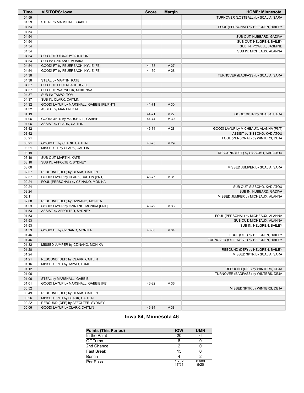| Time           | <b>VISITORS: Iowa</b>                    | <b>Score</b> | <b>Margin</b>                      | <b>HOME: Minnesota</b>                                |
|----------------|------------------------------------------|--------------|------------------------------------|-------------------------------------------------------|
| 04:59          |                                          |              |                                    | TURNOVER (LOSTBALL) by SCALIA, SARA                   |
| 04:59          | STEAL by MARSHALL, GABBIE                |              |                                    |                                                       |
| 04:54          |                                          |              |                                    | FOUL (PERSONAL) by HELGREN, BAILEY                    |
| 04:54          |                                          |              |                                    |                                                       |
| 04:54          |                                          |              |                                    | SUB OUT: HUBBARD, GADIVA                              |
| 04:54          |                                          |              |                                    | SUB OUT: HELGREN, BAILEY                              |
| 04:54          |                                          |              |                                    | SUB IN: POWELL, JASMINE                               |
| 04:54          |                                          |              |                                    | SUB IN: MICHEAUX, ALANNA                              |
| 04:54          | SUB OUT: O'GRADY, ADDISON                |              |                                    |                                                       |
| 04:54          | SUB IN: CZINANO, MONIKA                  |              |                                    |                                                       |
| 04:54          | GOOD! FT by FEUERBACH, KYLIE [FB]        | 41-68        | V <sub>27</sub><br>V <sub>28</sub> |                                                       |
| 04:54<br>04:38 | GOOD! FT by FEUERBACH, KYLIE [FB]        | 41-69        |                                    | TURNOVER (BADPASS) by SCALIA, SARA                    |
| 04:38          | STEAL by MARTIN, KATE                    |              |                                    |                                                       |
| 04:37          | SUB OUT: FEUERBACH, KYLIE                |              |                                    |                                                       |
| 04:37          | SUB OUT: WARNOCK, MCKENNA                |              |                                    |                                                       |
| 04:37          | SUB IN: TAIWO, TOMI                      |              |                                    |                                                       |
| 04:37          | SUB IN: CLARK, CAITLIN                   |              |                                    |                                                       |
| 04:32          | GOOD! LAYUP by MARSHALL, GABBIE [FB/PNT] | 41-71        | V30                                |                                                       |
| 04:32          | ASSIST by MARTIN, KATE                   |              |                                    |                                                       |
| 04:19          |                                          | 44-71        | V <sub>27</sub>                    | GOOD! 3PTR by SCALIA, SARA                            |
| 04:06          | GOOD! 3PTR by MARSHALL, GABBIE           | 44-74        | V30                                |                                                       |
| 04:06          | ASSIST by CLARK, CAITLIN                 |              |                                    |                                                       |
| 03:42          |                                          | 46-74        | V <sub>28</sub>                    | GOOD! LAYUP by MICHEAUX, ALANNA [PNT]                 |
| 03:42          |                                          |              |                                    | ASSIST by SISSOKO, KADIATOU                           |
| 03:21          |                                          |              |                                    | FOUL (PERSONAL) by WINTERS, DEJA                      |
| 03:21          | GOOD! FT by CLARK, CAITLIN               | 46-75        | V <sub>29</sub>                    |                                                       |
| 03:21          | MISSED FT by CLARK, CAITLIN              |              |                                    |                                                       |
| 03:19          |                                          |              |                                    | REBOUND (DEF) by SISSOKO, KADIATOU                    |
| 03:10          | SUB OUT: MARTIN, KATE                    |              |                                    |                                                       |
| 03:10          | SUB IN: AFFOLTER, SYDNEY                 |              |                                    |                                                       |
| 03:00          |                                          |              |                                    | MISSED JUMPER by SCALIA, SARA                         |
| 02:57          | REBOUND (DEF) by CLARK, CAITLIN          |              |                                    |                                                       |
| 02:37          | GOOD! LAYUP by CLARK, CAITLIN [PNT]      | 46-77        | V <sub>31</sub>                    |                                                       |
| 02:24<br>02:24 | FOUL (PERSONAL) by CZINANO, MONIKA       |              |                                    |                                                       |
| 02:24          |                                          |              |                                    | SUB OUT: SISSOKO, KADIATOU<br>SUB IN: HUBBARD, GADIVA |
| 02:11          |                                          |              |                                    | MISSED JUMPER by MICHEAUX, ALANNA                     |
| 02:08          | REBOUND (DEF) by CZINANO, MONIKA         |              |                                    |                                                       |
| 01:53          | GOOD! LAYUP by CZINANO, MONIKA [PNT]     | 46-79        | V33                                |                                                       |
| 01:53          | ASSIST by AFFOLTER, SYDNEY               |              |                                    |                                                       |
| 01:53          |                                          |              |                                    | FOUL (PERSONAL) by MICHEAUX, ALANNA                   |
| 01:53          |                                          |              |                                    | SUB OUT: MICHEAUX, ALANNA                             |
| 01:53          |                                          |              |                                    | SUB IN: HELGREN, BAILEY                               |
| 01:53          | GOOD! FT by CZINANO, MONIKA              | 46-80        | V <sub>34</sub>                    |                                                       |
| 01:46          |                                          |              |                                    | FOUL (OFF) by HELGREN, BAILEY                         |
| 01:46          |                                          |              |                                    | TURNOVER (OFFENSIVE) by HELGREN, BAILEY               |
| 01:32          | MISSED JUMPER by CZINANO, MONIKA         |              |                                    |                                                       |
| 01:28          |                                          |              |                                    | REBOUND (DEF) by HELGREN, BAILEY                      |
| 01:24          |                                          |              |                                    | MISSED 3PTR by SCALIA, SARA                           |
| 01:21          | REBOUND (DEF) by CLARK, CAITLIN          |              |                                    |                                                       |
| 01:16          | MISSED 3PTR by TAIWO, TOMI               |              |                                    |                                                       |
| 01:12          |                                          |              |                                    | REBOUND (DEF) by WINTERS, DEJA                        |
| 01:06          |                                          |              |                                    | TURNOVER (BADPASS) by WINTERS, DEJA                   |
| 01:06          | STEAL by MARSHALL, GABBIE                |              |                                    |                                                       |
| 01:01          | GOOD! LAYUP by MARSHALL, GABBIE [FB]     | 46-82        | V36                                |                                                       |
| 00:52          |                                          |              |                                    | MISSED 3PTR by WINTERS, DEJA                          |
| 00:49          | REBOUND (DEF) by CLARK, CAITLIN          |              |                                    |                                                       |
| 00:26          | MISSED 3PTR by CLARK, CAITLIN            |              |                                    |                                                       |
| 00:22          | REBOUND (OFF) by AFFOLTER, SYDNEY        |              |                                    |                                                       |
| 00:06          | GOOD! LAYUP by CLARK, CAITLIN            | 46-84        | V38                                |                                                       |

# **Iowa 84, Minnesota 46**

| <b>Points (This Period)</b> | <b>IOW</b>     | <b>UMN</b>    |
|-----------------------------|----------------|---------------|
| In the Paint                | 20             |               |
| Off Turns                   |                |               |
| 2nd Chance                  |                |               |
| <b>Fast Break</b>           | 15             |               |
| Bench                       |                |               |
| Per Poss                    | 1.762<br>17/21 | 0.600<br>5/20 |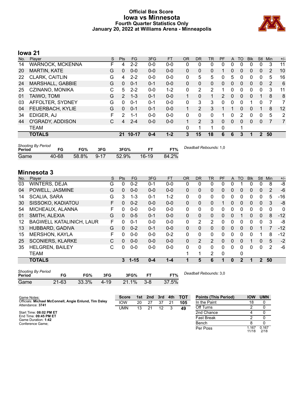# **Official Box Score Iowa vs Minnesota Fourth Quarter Statistics Only January 20, 2022 at Williams Arena - Minneapolis**



# **Iowa 21**

| No. | Player                  | S | Pts           | FG      | 3FG     | <b>FT</b> | <b>OR</b>    | DR            | <b>TR</b>    | PF            | A            | TO       | <b>B</b> lk | Stl      | Min | $+/-$ |
|-----|-------------------------|---|---------------|---------|---------|-----------|--------------|---------------|--------------|---------------|--------------|----------|-------------|----------|-----|-------|
| 14  | <b>WARNOCK, MCKENNA</b> | F | 4             | $2 - 2$ | $0 - 0$ | $0 - 0$   | 0            | 0             | 0            | 0             | 0            |          | 0           | 0        | 3   | 11    |
| 20  | <b>MARTIN, KATE</b>     | G | 0             | $0 - 0$ | $0 - 0$ | $0 - 0$   | $\Omega$     | 0             | 0            |               | 0            | 0        | 0           | 0        | 2   | 10    |
| 22  | <b>CLARK, CAITLIN</b>   | G | 4             | $2 - 2$ | $0 - 0$ | $0-0$     | 0            | 5             | 5            | 0             | 5            | $\Omega$ | 0           | 0        | 5   | 16    |
| 24  | MARSHALL, GABBIE        | G | 0             | $0 - 1$ | $0 - 1$ | $0 - 0$   | $\mathbf{0}$ | $\Omega$      | $\Omega$     | 0             | $\Omega$     | $\Omega$ | $\Omega$    | $\Omega$ | 2   | 6     |
| 25  | CZINANO, MONIKA         | С | 5             | $2 - 2$ | $0 - 0$ | $1 - 2$   | 0            | 2             | 2            |               | 0            | 0        | 0           | 0        | 3   | 11    |
| 01  | TAIWO, TOMI             | G | $\mathcal{P}$ | $1 - 3$ | $0 - 1$ | $0 - 0$   | 1            | 0             | $\mathbf{1}$ | $\mathcal{P}$ | $\mathbf{0}$ | $\Omega$ | 0           |          | 8   | 8     |
| 03  | AFFOLTER, SYDNEY        | G | 0             | $0 - 1$ | $0 - 1$ | $0 - 0$   | 0            | 3             | 3            | 0             | 0            | $\Omega$ | 1           | 0        |     | 7     |
| 04  | FEUERBACH, KYLIE        | G | 0             | $0 - 1$ | $0 - 1$ | $0 - 0$   | 1            | $\mathcal{P}$ | 3            |               |              | $\Omega$ | 0           |          | 8   | 12    |
| 34  | EDIGER, AJ              | F | 2             | 1-1     | $0 - 0$ | $0 - 0$   | 0            | 0             | 0            |               | 0            | 2        | 0           | 0        | 5   | 2     |
| 44  | O'GRADY, ADDISON        | С | 4             | $2 - 4$ | $0 - 0$ | $0 - 0$   |              | 2             | 3            | 0             | $\mathbf{0}$ | $\Omega$ | 0           | 0        |     | 7     |
|     | <b>TEAM</b>             |   |               |         |         |           | 0            |               | 4            | 0             |              | ٠        |             |          |     |       |
|     | <b>TOTALS</b>           |   | 21            | 10-17   | $0 - 4$ | $1 - 2$   | 3            | 15            | 18           | 6             | 6            | 3        | 1           | 2        | 50  |       |
|     |                         |   |               |         |         |           |              |               |              |               |              |          |             |          |     |       |

| <b>Shooting By Period</b><br><b>Period</b> | FG    | FG%      | 3FG      | 3FG%     |         | FT%   | Deadball Rebounds: 1,0 |
|--------------------------------------------|-------|----------|----------|----------|---------|-------|------------------------|
| Game                                       | 40-68 | $58.8\%$ | $9 - 17$ | $52.9\%$ | $16-19$ | 84.2% |                        |

# **Minnesota 3**

| No. | Player                          | S | <b>Pts</b> | FG.      | 3FG     | <b>FT</b> | <b>OR</b> | D <sub>R</sub> | TR             | PF       | A            | TO           | <b>Blk</b> | Stl           | Min            | $+/-$        |
|-----|---------------------------------|---|------------|----------|---------|-----------|-----------|----------------|----------------|----------|--------------|--------------|------------|---------------|----------------|--------------|
| 03  | WINTERS, DEJA                   | G | 0          | $0 - 2$  | $0 - 1$ | $0-0$     | 0         | 0              | 0              | 0        | 0            |              |            | 0             | 8              | -8           |
| 04  | POWELL, JASMINE                 | G | 0          | $0 - 0$  | $0 - 0$ | $0 - 0$   | $\Omega$  | $\mathbf{0}$   | 0              | 0        | 0            | 0            | 0          | 0             | 2              | $-6$         |
| 14  | <b>SCALIA, SARA</b>             | G | 3          | $1 - 3$  | $0 - 1$ | $1 - 2$   | 0         | $\Omega$       | 0              | 0        | 0            | 0            | 0          | 0             | 5              | $-16$        |
| 30  | SISSOKO, KADIATOU               | F | 0          | $0 - 2$  | $0 - 0$ | $0 - 0$   | $\Omega$  | $\Omega$       | 0              |          | $\Omega$     | 0            | $\Omega$   | $\mathbf{0}$  | 3              | -8           |
| 54  | MICHEAUX, ALANNA                | F | 0          | $0 - 0$  | $0 - 0$ | $0 - 0$   | 0         | $\Omega$       | 0              | 0        | 0            | 0            | $\Omega$   | $\Omega$      | $\Omega$       | $\mathbf{0}$ |
| 01  | SMITH, ALEXIA                   | G | 0          | $0 - 5$  | $0 - 1$ | $0 - 0$   | 0         | $\mathbf{0}$   | 0              | 0        | $\mathbf{0}$ |              | 0          | $\mathbf{0}$  | 8              | $-12$        |
| 12  | <b>BAGWELL KATALINICH, LAUR</b> | F | 0          | $0 - 1$  | $0 - 0$ | $0 - 0$   | 0         | 2              | 2              | 0        | 0            | 0            | 0          | 0             | 3              | -8           |
| 13  | HUBBARD, GADIVA                 | G | $\Omega$   | $0 - 2$  | $0 - 1$ | $0 - 0$   | $\Omega$  | $\Omega$       | 0              | 0        | $\Omega$     | 0            | $\Omega$   |               | 7              | $-12$        |
| 15  | <b>MERSHON, KAYLA</b>           | F | 0          | $0 - 0$  | $0 - 0$ | $0 - 2$   | 0         | $\Omega$       | 0              | 0        | 0            | 0            | $\Omega$   | 1             | 8              | $-12$        |
| 25  | <b>SCONIERS, KLARKE</b>         | C | 0          | $0 - 0$  | $0 - 0$ | $0 - 0$   | $\Omega$  | $\overline{2}$ | $\overline{2}$ | $\Omega$ | $\Omega$     | 0            | 1          | $\Omega$      | 5              | $-2$         |
| 35  | <b>HELGREN, BAILEY</b>          | С | 0          | $0 - 0$  | $0 - 0$ | $0 - 0$   | 0         | 0              | 0              | 0        | 0            | 0            | 0          | $\mathbf{0}$  | $\overline{2}$ | -6           |
|     | <b>TEAM</b>                     |   |            |          |         |           | 1         |                | 2              | 0        |              | 0            |            |               |                |              |
|     | <b>TOTALS</b>                   |   | 3          | $1 - 15$ | $0 - 4$ | $1 - 4$   |           | 5              | 6              |          | $\bf{0}$     | $\mathbf{2}$ | 1          | $\mathcal{P}$ | 50             |              |

| <b>Shooting By Period</b><br>Period | FG        | FG%   | 3FG  | 3FG%  |         | FT%   | Deadball Rebounds: 3,0 |
|-------------------------------------|-----------|-------|------|-------|---------|-------|------------------------|
| Game                                | $21 - 63$ | 33.3% | 4-19 | 21.1% | $3 - 8$ | 37.5% |                        |

| Game Notes:                                           | <b>Score</b> | 1st | 2nd | 3rd | 4th | <b>TOT</b> | <b>Points (This Period)</b> | <b>IOW</b>     | <b>UMN</b>    |
|-------------------------------------------------------|--------------|-----|-----|-----|-----|------------|-----------------------------|----------------|---------------|
| Officials: Michael McConnell, Angie Enlund, Tim Daley | <b>IOW</b>   | 20  |     | 37  | 21  | 105        | In the Paint                | 18             |               |
| Attendance: 3741                                      | UMN          | 13  |     | 12  |     | 49         | Off Turns                   |                |               |
| Start Time: 08:02 PM ET                               |              |     |     |     |     |            | 2nd Chance                  |                |               |
| End Time: 09:45 PM ET<br>Game Duration: 1:42          |              |     |     |     |     |            | <b>Fast Break</b>           |                |               |
| Conference Game;                                      |              |     |     |     |     |            | Bench                       |                |               |
|                                                       |              |     |     |     |     |            | Per Poss                    | 1.167<br>11/18 | 0.167<br>2/18 |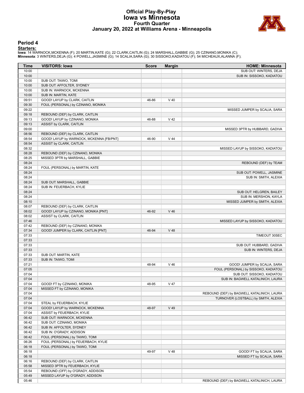# **Official Play-By-Play Iowa vs Minnesota Fourth Quarter January 20, 2022 at Williams Arena - Minneapolis**



## **Period 4**

**Starters:**<br>Iowa: 14 WARNOCK,MCKENNA (F); 20 MARTIN,KATE (G); 22 CLARK,CAITLIN (G); 24 MARSHALL,GABBIE (G); 25 CZINANO,MONIKA (C);<br>**Minnesota**: 3 WINTERS,DEJA (G); 4 POWELL,JASMINE (G); 14 SCALIA,SARA (G); 30 SISSOKO,KADIA

| Time           | <b>VISITORS: Iowa</b>                                                 | <b>Score</b> | <b>Margin</b> | <b>HOME: Minnesota</b>                                          |
|----------------|-----------------------------------------------------------------------|--------------|---------------|-----------------------------------------------------------------|
| 10:00          |                                                                       |              |               | SUB OUT: WINTERS, DEJA                                          |
| 10:00          |                                                                       |              |               | SUB IN: SISSOKO, KADIATOU                                       |
| 10:00          | SUB OUT: TAIWO, TOMI                                                  |              |               |                                                                 |
| 10:00          | SUB OUT: AFFOLTER, SYDNEY                                             |              |               |                                                                 |
| 10:00          | SUB IN: WARNOCK, MCKENNA                                              |              |               |                                                                 |
| 10:00          | SUB IN: MARTIN, KATE                                                  |              |               |                                                                 |
| 09:51          | GOOD! LAYUP by CLARK, CAITLIN                                         | 46-86        | $V$ 40        |                                                                 |
| 09:30          | FOUL (PERSONAL) by CZINANO, MONIKA                                    |              |               |                                                                 |
| 09:22          |                                                                       |              |               | MISSED JUMPER by SCALIA, SARA                                   |
| 09:18          | REBOUND (DEF) by CLARK, CAITLIN                                       |              |               |                                                                 |
| 09:13          | GOOD! LAYUP by CZINANO, MONIKA                                        | 46-88        | $V$ 42        |                                                                 |
| 09:13          | ASSIST by CLARK, CAITLIN                                              |              |               |                                                                 |
| 09:00          |                                                                       |              |               | MISSED 3PTR by HUBBARD, GADIVA                                  |
| 08:56          | REBOUND (DEF) by CLARK, CAITLIN                                       |              |               |                                                                 |
| 08:54          | GOOD! LAYUP by WARNOCK, MCKENNA [FB/PNT]                              | 46-90        | $V$ 44        |                                                                 |
| 08:54          | ASSIST by CLARK, CAITLIN                                              |              |               |                                                                 |
| 08:32          |                                                                       |              |               | MISSED LAYUP by SISSOKO, KADIATOU                               |
| 08:28          | REBOUND (DEF) by CZINANO, MONIKA                                      |              |               |                                                                 |
| 08:25          | MISSED 3PTR by MARSHALL, GABBIE                                       |              |               |                                                                 |
| 08:24          |                                                                       |              |               | REBOUND (DEF) by TEAM                                           |
| 08:24          | FOUL (PERSONAL) by MARTIN, KATE                                       |              |               |                                                                 |
| 08:24          |                                                                       |              |               | SUB OUT: POWELL, JASMINE                                        |
| 08:24          |                                                                       |              |               | SUB IN: SMITH, ALEXIA                                           |
| 08:24          | SUB OUT: MARSHALL, GABBIE                                             |              |               |                                                                 |
| 08:24          | SUB IN: FEUERBACH, KYLIE                                              |              |               |                                                                 |
| 08:24          |                                                                       |              |               | SUB OUT: HELGREN, BAILEY                                        |
| 08:24          |                                                                       |              |               | SUB IN: MERSHON, KAYLA                                          |
| 08:10          |                                                                       |              |               | MISSED JUMPER by SMITH, ALEXIA                                  |
| 08:07          | REBOUND (DEF) by CLARK, CAITLIN                                       |              |               |                                                                 |
| 08:02          | GOOD! LAYUP by CZINANO, MONIKA [PNT]                                  | 46-92        | $V$ 46        |                                                                 |
| 08:02          | ASSIST by CLARK, CAITLIN                                              |              |               |                                                                 |
| 07:46          |                                                                       |              |               | MISSED LAYUP by SISSOKO, KADIATOU                               |
| 07:42          | REBOUND (DEF) by CZINANO, MONIKA                                      |              |               |                                                                 |
| 07:34          | GOOD! JUMPER by CLARK, CAITLIN [PNT]                                  | 46-94        | $V$ 48        |                                                                 |
| 07:33          |                                                                       |              |               | TIMEOUT 30SEC                                                   |
| 07:33          |                                                                       |              |               |                                                                 |
| 07:33          |                                                                       |              |               | SUB OUT: HUBBARD, GADIVA                                        |
| 07:33          |                                                                       |              |               | SUB IN: WINTERS, DEJA                                           |
| 07:33          | SUB OUT: MARTIN, KATE                                                 |              |               |                                                                 |
| 07:33          | SUB IN: TAIWO, TOMI                                                   |              |               |                                                                 |
| 07:21<br>07:05 |                                                                       | 48-94        | $V$ 46        | GOOD! JUMPER by SCALIA, SARA                                    |
|                |                                                                       |              |               | FOUL (PERSONAL) by SISSOKO, KADIATOU                            |
| 07:04          |                                                                       |              |               | SUB OUT: SISSOKO, KADIATOU<br>SUB IN: BAGWELL KATALINICH, LAURA |
| 07:04          |                                                                       |              |               |                                                                 |
| 07:04          | GOOD! FT by CZINANO, MONIKA                                           | 48-95        | V 47          |                                                                 |
| 07:04          | MISSED FT by CZINANO, MONIKA                                          |              |               |                                                                 |
| 07:04          |                                                                       |              |               | REBOUND (DEF) by BAGWELL KATALINICH, LAURA                      |
| 07:04          |                                                                       |              |               | TURNOVER (LOSTBALL) by SMITH, ALEXIA                            |
| 07:04          | STEAL by FEUERBACH, KYLIE                                             |              | $V$ 49        |                                                                 |
| 07:04          | GOOD! LAYUP by WARNOCK, MCKENNA                                       | 48-97        |               |                                                                 |
| 07:04<br>06:42 | ASSIST by FEUERBACH, KYLIE<br>SUB OUT: WARNOCK, MCKENNA               |              |               |                                                                 |
|                |                                                                       |              |               |                                                                 |
| 06:42<br>06:42 | SUB OUT: CZINANO, MONIKA<br>SUB IN: AFFOLTER, SYDNEY                  |              |               |                                                                 |
| 06:42          |                                                                       |              |               |                                                                 |
| 06:42          | SUB IN: O'GRADY, ADDISON                                              |              |               |                                                                 |
| 06:26          | FOUL (PERSONAL) by TAIWO, TOMI<br>FOUL (PERSONAL) by FEUERBACH, KYLIE |              |               |                                                                 |
| 06:18          | FOUL (PERSONAL) by TAIWO, TOMI                                        |              |               |                                                                 |
| 06:18          |                                                                       | 49-97        | V 48          | GOOD! FT by SCALIA, SARA                                        |
| 06:18          |                                                                       |              |               | MISSED FT by SCALIA, SARA                                       |
| 06:16          |                                                                       |              |               |                                                                 |
| 05:58          | REBOUND (DEF) by CLARK, CAITLIN<br>MISSED 3PTR by FEUERBACH, KYLIE    |              |               |                                                                 |
| 05:54          | REBOUND (OFF) by O'GRADY, ADDISON                                     |              |               |                                                                 |
| 05:49          | MISSED LAYUP by O'GRADY, ADDISON                                      |              |               |                                                                 |
| 05:46          |                                                                       |              |               | REBOUND (DEF) by BAGWELL KATALINICH, LAURA                      |
|                |                                                                       |              |               |                                                                 |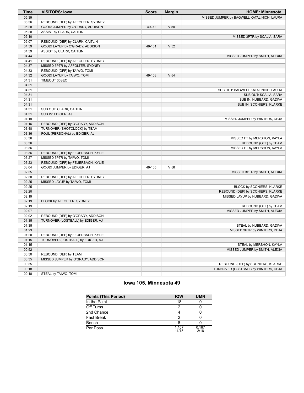| MISSED JUMPER by BAGWELL KATALINICH, LAURA<br>05:39<br>05:36<br>REBOUND (DEF) by AFFOLTER, SYDNEY<br>05:28<br>GOOD! JUMPER by O'GRADY, ADDISON<br>49-99<br>V <sub>50</sub><br>05:28<br>ASSIST by CLARK, CAITLIN<br>05:10<br>MISSED 3PTR by SCALIA, SARA<br>05:07<br>REBOUND (DEF) by CLARK, CAITLIN<br>04:59<br>GOOD! LAYUP by O'GRADY, ADDISON<br>V <sub>52</sub><br>49-101<br>04:59<br>ASSIST by CLARK, CAITLIN<br>04:44<br>MISSED JUMPER by SMITH, ALEXIA<br>04:41<br>REBOUND (DEF) by AFFOLTER, SYDNEY<br>04:37<br>MISSED 3PTR by AFFOLTER, SYDNEY<br>04:33<br>REBOUND (OFF) by TAIWO, TOMI<br>04:32<br>GOOD! LAYUP by TAIWO, TOMI<br>V <sub>54</sub><br>49-103<br>04:31<br>TIMEOUT 30SEC<br>04:31<br>04:31<br>SUB OUT: BAGWELL KATALINICH, LAURA<br>04:31<br>SUB OUT: SCALIA, SARA<br>04:31<br>SUB IN: HUBBARD, GADIVA<br>04:31<br>SUB IN: SCONIERS, KLARKE<br>04:31<br>SUB OUT: CLARK, CAITLIN<br>04:31<br>SUB IN: EDIGER, AJ<br>04:19<br>MISSED JUMPER by WINTERS, DEJA<br>04:16<br>REBOUND (DEF) by O'GRADY, ADDISON<br>TURNOVER (SHOTCLOCK) by TEAM<br>03:48<br>03:36<br>FOUL (PERSONAL) by EDIGER, AJ<br>03:36<br>MISSED FT by MERSHON, KAYLA<br>03:36<br>REBOUND (OFF) by TEAM<br>03:36<br>MISSED FT by MERSHON, KAYLA<br>03:36<br>REBOUND (DEF) by FEUERBACH, KYLIE<br>03:27<br>MISSED 3PTR by TAIWO, TOMI<br>03:23<br>REBOUND (OFF) by FEUERBACH, KYLIE<br>03:04<br>GOOD! JUMPER by EDIGER, AJ<br>V <sub>56</sub><br>49-105<br>02:35<br>MISSED 3PTR by SMITH, ALEXIA<br>02:30<br>REBOUND (DEF) by AFFOLTER, SYDNEY<br>02:25<br>MISSED LAYUP by TAIWO, TOMI<br>02:25<br>BLOCK by SCONIERS, KLARKE<br>02:20<br>REBOUND (DEF) by SCONIERS, KLARKE<br>MISSED LAYUP by HUBBARD, GADIVA<br>02:19<br>02:19<br>BLOCK by AFFOLTER, SYDNEY<br>02:19<br>REBOUND (OFF) by TEAM<br>02:07<br>MISSED JUMPER by SMITH, ALEXIA<br>02:02<br>REBOUND (DEF) by O'GRADY, ADDISON<br>01:35<br>TURNOVER (LOSTBALL) by EDIGER, AJ<br>01:35<br>STEAL by HUBBARD, GADIVA<br>MISSED 3PTR by WINTERS, DEJA<br>01:23<br>01:20<br>REBOUND (DEF) by FEUERBACH, KYLIE<br>01:15<br>TURNOVER (LOSTBALL) by EDIGER, AJ<br>01:15<br>STEAL by MERSHON, KAYLA<br>00:52<br>MISSED JUMPER by SMITH, ALEXIA<br>00:50<br>REBOUND (DEF) by TEAM<br>MISSED JUMPER by O'GRADY, ADDISON<br>00:35<br>00:35<br>REBOUND (DEF) by SCONIERS, KLARKE<br>00:18<br>TURNOVER (LOSTBALL) by WINTERS, DEJA | <b>Time</b> | <b>VISITORS: Iowa</b> | <b>Score</b> | <b>Margin</b> | <b>HOME: Minnesota</b> |
|----------------------------------------------------------------------------------------------------------------------------------------------------------------------------------------------------------------------------------------------------------------------------------------------------------------------------------------------------------------------------------------------------------------------------------------------------------------------------------------------------------------------------------------------------------------------------------------------------------------------------------------------------------------------------------------------------------------------------------------------------------------------------------------------------------------------------------------------------------------------------------------------------------------------------------------------------------------------------------------------------------------------------------------------------------------------------------------------------------------------------------------------------------------------------------------------------------------------------------------------------------------------------------------------------------------------------------------------------------------------------------------------------------------------------------------------------------------------------------------------------------------------------------------------------------------------------------------------------------------------------------------------------------------------------------------------------------------------------------------------------------------------------------------------------------------------------------------------------------------------------------------------------------------------------------------------------------------------------------------------------------------------------------------------------------------------------------------------------------------------------------------------------------------------------------------------------------------------------------------------------------------------------------------------------------------------------------------------------------------|-------------|-----------------------|--------------|---------------|------------------------|
|                                                                                                                                                                                                                                                                                                                                                                                                                                                                                                                                                                                                                                                                                                                                                                                                                                                                                                                                                                                                                                                                                                                                                                                                                                                                                                                                                                                                                                                                                                                                                                                                                                                                                                                                                                                                                                                                                                                                                                                                                                                                                                                                                                                                                                                                                                                                                                |             |                       |              |               |                        |
|                                                                                                                                                                                                                                                                                                                                                                                                                                                                                                                                                                                                                                                                                                                                                                                                                                                                                                                                                                                                                                                                                                                                                                                                                                                                                                                                                                                                                                                                                                                                                                                                                                                                                                                                                                                                                                                                                                                                                                                                                                                                                                                                                                                                                                                                                                                                                                |             |                       |              |               |                        |
|                                                                                                                                                                                                                                                                                                                                                                                                                                                                                                                                                                                                                                                                                                                                                                                                                                                                                                                                                                                                                                                                                                                                                                                                                                                                                                                                                                                                                                                                                                                                                                                                                                                                                                                                                                                                                                                                                                                                                                                                                                                                                                                                                                                                                                                                                                                                                                |             |                       |              |               |                        |
|                                                                                                                                                                                                                                                                                                                                                                                                                                                                                                                                                                                                                                                                                                                                                                                                                                                                                                                                                                                                                                                                                                                                                                                                                                                                                                                                                                                                                                                                                                                                                                                                                                                                                                                                                                                                                                                                                                                                                                                                                                                                                                                                                                                                                                                                                                                                                                |             |                       |              |               |                        |
|                                                                                                                                                                                                                                                                                                                                                                                                                                                                                                                                                                                                                                                                                                                                                                                                                                                                                                                                                                                                                                                                                                                                                                                                                                                                                                                                                                                                                                                                                                                                                                                                                                                                                                                                                                                                                                                                                                                                                                                                                                                                                                                                                                                                                                                                                                                                                                |             |                       |              |               |                        |
|                                                                                                                                                                                                                                                                                                                                                                                                                                                                                                                                                                                                                                                                                                                                                                                                                                                                                                                                                                                                                                                                                                                                                                                                                                                                                                                                                                                                                                                                                                                                                                                                                                                                                                                                                                                                                                                                                                                                                                                                                                                                                                                                                                                                                                                                                                                                                                |             |                       |              |               |                        |
|                                                                                                                                                                                                                                                                                                                                                                                                                                                                                                                                                                                                                                                                                                                                                                                                                                                                                                                                                                                                                                                                                                                                                                                                                                                                                                                                                                                                                                                                                                                                                                                                                                                                                                                                                                                                                                                                                                                                                                                                                                                                                                                                                                                                                                                                                                                                                                |             |                       |              |               |                        |
|                                                                                                                                                                                                                                                                                                                                                                                                                                                                                                                                                                                                                                                                                                                                                                                                                                                                                                                                                                                                                                                                                                                                                                                                                                                                                                                                                                                                                                                                                                                                                                                                                                                                                                                                                                                                                                                                                                                                                                                                                                                                                                                                                                                                                                                                                                                                                                |             |                       |              |               |                        |
|                                                                                                                                                                                                                                                                                                                                                                                                                                                                                                                                                                                                                                                                                                                                                                                                                                                                                                                                                                                                                                                                                                                                                                                                                                                                                                                                                                                                                                                                                                                                                                                                                                                                                                                                                                                                                                                                                                                                                                                                                                                                                                                                                                                                                                                                                                                                                                |             |                       |              |               |                        |
|                                                                                                                                                                                                                                                                                                                                                                                                                                                                                                                                                                                                                                                                                                                                                                                                                                                                                                                                                                                                                                                                                                                                                                                                                                                                                                                                                                                                                                                                                                                                                                                                                                                                                                                                                                                                                                                                                                                                                                                                                                                                                                                                                                                                                                                                                                                                                                |             |                       |              |               |                        |
|                                                                                                                                                                                                                                                                                                                                                                                                                                                                                                                                                                                                                                                                                                                                                                                                                                                                                                                                                                                                                                                                                                                                                                                                                                                                                                                                                                                                                                                                                                                                                                                                                                                                                                                                                                                                                                                                                                                                                                                                                                                                                                                                                                                                                                                                                                                                                                |             |                       |              |               |                        |
|                                                                                                                                                                                                                                                                                                                                                                                                                                                                                                                                                                                                                                                                                                                                                                                                                                                                                                                                                                                                                                                                                                                                                                                                                                                                                                                                                                                                                                                                                                                                                                                                                                                                                                                                                                                                                                                                                                                                                                                                                                                                                                                                                                                                                                                                                                                                                                |             |                       |              |               |                        |
|                                                                                                                                                                                                                                                                                                                                                                                                                                                                                                                                                                                                                                                                                                                                                                                                                                                                                                                                                                                                                                                                                                                                                                                                                                                                                                                                                                                                                                                                                                                                                                                                                                                                                                                                                                                                                                                                                                                                                                                                                                                                                                                                                                                                                                                                                                                                                                |             |                       |              |               |                        |
|                                                                                                                                                                                                                                                                                                                                                                                                                                                                                                                                                                                                                                                                                                                                                                                                                                                                                                                                                                                                                                                                                                                                                                                                                                                                                                                                                                                                                                                                                                                                                                                                                                                                                                                                                                                                                                                                                                                                                                                                                                                                                                                                                                                                                                                                                                                                                                |             |                       |              |               |                        |
|                                                                                                                                                                                                                                                                                                                                                                                                                                                                                                                                                                                                                                                                                                                                                                                                                                                                                                                                                                                                                                                                                                                                                                                                                                                                                                                                                                                                                                                                                                                                                                                                                                                                                                                                                                                                                                                                                                                                                                                                                                                                                                                                                                                                                                                                                                                                                                |             |                       |              |               |                        |
|                                                                                                                                                                                                                                                                                                                                                                                                                                                                                                                                                                                                                                                                                                                                                                                                                                                                                                                                                                                                                                                                                                                                                                                                                                                                                                                                                                                                                                                                                                                                                                                                                                                                                                                                                                                                                                                                                                                                                                                                                                                                                                                                                                                                                                                                                                                                                                |             |                       |              |               |                        |
|                                                                                                                                                                                                                                                                                                                                                                                                                                                                                                                                                                                                                                                                                                                                                                                                                                                                                                                                                                                                                                                                                                                                                                                                                                                                                                                                                                                                                                                                                                                                                                                                                                                                                                                                                                                                                                                                                                                                                                                                                                                                                                                                                                                                                                                                                                                                                                |             |                       |              |               |                        |
|                                                                                                                                                                                                                                                                                                                                                                                                                                                                                                                                                                                                                                                                                                                                                                                                                                                                                                                                                                                                                                                                                                                                                                                                                                                                                                                                                                                                                                                                                                                                                                                                                                                                                                                                                                                                                                                                                                                                                                                                                                                                                                                                                                                                                                                                                                                                                                |             |                       |              |               |                        |
|                                                                                                                                                                                                                                                                                                                                                                                                                                                                                                                                                                                                                                                                                                                                                                                                                                                                                                                                                                                                                                                                                                                                                                                                                                                                                                                                                                                                                                                                                                                                                                                                                                                                                                                                                                                                                                                                                                                                                                                                                                                                                                                                                                                                                                                                                                                                                                |             |                       |              |               |                        |
|                                                                                                                                                                                                                                                                                                                                                                                                                                                                                                                                                                                                                                                                                                                                                                                                                                                                                                                                                                                                                                                                                                                                                                                                                                                                                                                                                                                                                                                                                                                                                                                                                                                                                                                                                                                                                                                                                                                                                                                                                                                                                                                                                                                                                                                                                                                                                                |             |                       |              |               |                        |
|                                                                                                                                                                                                                                                                                                                                                                                                                                                                                                                                                                                                                                                                                                                                                                                                                                                                                                                                                                                                                                                                                                                                                                                                                                                                                                                                                                                                                                                                                                                                                                                                                                                                                                                                                                                                                                                                                                                                                                                                                                                                                                                                                                                                                                                                                                                                                                |             |                       |              |               |                        |
|                                                                                                                                                                                                                                                                                                                                                                                                                                                                                                                                                                                                                                                                                                                                                                                                                                                                                                                                                                                                                                                                                                                                                                                                                                                                                                                                                                                                                                                                                                                                                                                                                                                                                                                                                                                                                                                                                                                                                                                                                                                                                                                                                                                                                                                                                                                                                                |             |                       |              |               |                        |
|                                                                                                                                                                                                                                                                                                                                                                                                                                                                                                                                                                                                                                                                                                                                                                                                                                                                                                                                                                                                                                                                                                                                                                                                                                                                                                                                                                                                                                                                                                                                                                                                                                                                                                                                                                                                                                                                                                                                                                                                                                                                                                                                                                                                                                                                                                                                                                |             |                       |              |               |                        |
|                                                                                                                                                                                                                                                                                                                                                                                                                                                                                                                                                                                                                                                                                                                                                                                                                                                                                                                                                                                                                                                                                                                                                                                                                                                                                                                                                                                                                                                                                                                                                                                                                                                                                                                                                                                                                                                                                                                                                                                                                                                                                                                                                                                                                                                                                                                                                                |             |                       |              |               |                        |
|                                                                                                                                                                                                                                                                                                                                                                                                                                                                                                                                                                                                                                                                                                                                                                                                                                                                                                                                                                                                                                                                                                                                                                                                                                                                                                                                                                                                                                                                                                                                                                                                                                                                                                                                                                                                                                                                                                                                                                                                                                                                                                                                                                                                                                                                                                                                                                |             |                       |              |               |                        |
|                                                                                                                                                                                                                                                                                                                                                                                                                                                                                                                                                                                                                                                                                                                                                                                                                                                                                                                                                                                                                                                                                                                                                                                                                                                                                                                                                                                                                                                                                                                                                                                                                                                                                                                                                                                                                                                                                                                                                                                                                                                                                                                                                                                                                                                                                                                                                                |             |                       |              |               |                        |
|                                                                                                                                                                                                                                                                                                                                                                                                                                                                                                                                                                                                                                                                                                                                                                                                                                                                                                                                                                                                                                                                                                                                                                                                                                                                                                                                                                                                                                                                                                                                                                                                                                                                                                                                                                                                                                                                                                                                                                                                                                                                                                                                                                                                                                                                                                                                                                |             |                       |              |               |                        |
|                                                                                                                                                                                                                                                                                                                                                                                                                                                                                                                                                                                                                                                                                                                                                                                                                                                                                                                                                                                                                                                                                                                                                                                                                                                                                                                                                                                                                                                                                                                                                                                                                                                                                                                                                                                                                                                                                                                                                                                                                                                                                                                                                                                                                                                                                                                                                                |             |                       |              |               |                        |
|                                                                                                                                                                                                                                                                                                                                                                                                                                                                                                                                                                                                                                                                                                                                                                                                                                                                                                                                                                                                                                                                                                                                                                                                                                                                                                                                                                                                                                                                                                                                                                                                                                                                                                                                                                                                                                                                                                                                                                                                                                                                                                                                                                                                                                                                                                                                                                |             |                       |              |               |                        |
|                                                                                                                                                                                                                                                                                                                                                                                                                                                                                                                                                                                                                                                                                                                                                                                                                                                                                                                                                                                                                                                                                                                                                                                                                                                                                                                                                                                                                                                                                                                                                                                                                                                                                                                                                                                                                                                                                                                                                                                                                                                                                                                                                                                                                                                                                                                                                                |             |                       |              |               |                        |
|                                                                                                                                                                                                                                                                                                                                                                                                                                                                                                                                                                                                                                                                                                                                                                                                                                                                                                                                                                                                                                                                                                                                                                                                                                                                                                                                                                                                                                                                                                                                                                                                                                                                                                                                                                                                                                                                                                                                                                                                                                                                                                                                                                                                                                                                                                                                                                |             |                       |              |               |                        |
|                                                                                                                                                                                                                                                                                                                                                                                                                                                                                                                                                                                                                                                                                                                                                                                                                                                                                                                                                                                                                                                                                                                                                                                                                                                                                                                                                                                                                                                                                                                                                                                                                                                                                                                                                                                                                                                                                                                                                                                                                                                                                                                                                                                                                                                                                                                                                                |             |                       |              |               |                        |
|                                                                                                                                                                                                                                                                                                                                                                                                                                                                                                                                                                                                                                                                                                                                                                                                                                                                                                                                                                                                                                                                                                                                                                                                                                                                                                                                                                                                                                                                                                                                                                                                                                                                                                                                                                                                                                                                                                                                                                                                                                                                                                                                                                                                                                                                                                                                                                |             |                       |              |               |                        |
|                                                                                                                                                                                                                                                                                                                                                                                                                                                                                                                                                                                                                                                                                                                                                                                                                                                                                                                                                                                                                                                                                                                                                                                                                                                                                                                                                                                                                                                                                                                                                                                                                                                                                                                                                                                                                                                                                                                                                                                                                                                                                                                                                                                                                                                                                                                                                                |             |                       |              |               |                        |
|                                                                                                                                                                                                                                                                                                                                                                                                                                                                                                                                                                                                                                                                                                                                                                                                                                                                                                                                                                                                                                                                                                                                                                                                                                                                                                                                                                                                                                                                                                                                                                                                                                                                                                                                                                                                                                                                                                                                                                                                                                                                                                                                                                                                                                                                                                                                                                |             |                       |              |               |                        |
|                                                                                                                                                                                                                                                                                                                                                                                                                                                                                                                                                                                                                                                                                                                                                                                                                                                                                                                                                                                                                                                                                                                                                                                                                                                                                                                                                                                                                                                                                                                                                                                                                                                                                                                                                                                                                                                                                                                                                                                                                                                                                                                                                                                                                                                                                                                                                                |             |                       |              |               |                        |
|                                                                                                                                                                                                                                                                                                                                                                                                                                                                                                                                                                                                                                                                                                                                                                                                                                                                                                                                                                                                                                                                                                                                                                                                                                                                                                                                                                                                                                                                                                                                                                                                                                                                                                                                                                                                                                                                                                                                                                                                                                                                                                                                                                                                                                                                                                                                                                |             |                       |              |               |                        |
|                                                                                                                                                                                                                                                                                                                                                                                                                                                                                                                                                                                                                                                                                                                                                                                                                                                                                                                                                                                                                                                                                                                                                                                                                                                                                                                                                                                                                                                                                                                                                                                                                                                                                                                                                                                                                                                                                                                                                                                                                                                                                                                                                                                                                                                                                                                                                                |             |                       |              |               |                        |
|                                                                                                                                                                                                                                                                                                                                                                                                                                                                                                                                                                                                                                                                                                                                                                                                                                                                                                                                                                                                                                                                                                                                                                                                                                                                                                                                                                                                                                                                                                                                                                                                                                                                                                                                                                                                                                                                                                                                                                                                                                                                                                                                                                                                                                                                                                                                                                |             |                       |              |               |                        |
|                                                                                                                                                                                                                                                                                                                                                                                                                                                                                                                                                                                                                                                                                                                                                                                                                                                                                                                                                                                                                                                                                                                                                                                                                                                                                                                                                                                                                                                                                                                                                                                                                                                                                                                                                                                                                                                                                                                                                                                                                                                                                                                                                                                                                                                                                                                                                                |             |                       |              |               |                        |
|                                                                                                                                                                                                                                                                                                                                                                                                                                                                                                                                                                                                                                                                                                                                                                                                                                                                                                                                                                                                                                                                                                                                                                                                                                                                                                                                                                                                                                                                                                                                                                                                                                                                                                                                                                                                                                                                                                                                                                                                                                                                                                                                                                                                                                                                                                                                                                |             |                       |              |               |                        |
|                                                                                                                                                                                                                                                                                                                                                                                                                                                                                                                                                                                                                                                                                                                                                                                                                                                                                                                                                                                                                                                                                                                                                                                                                                                                                                                                                                                                                                                                                                                                                                                                                                                                                                                                                                                                                                                                                                                                                                                                                                                                                                                                                                                                                                                                                                                                                                |             |                       |              |               |                        |
|                                                                                                                                                                                                                                                                                                                                                                                                                                                                                                                                                                                                                                                                                                                                                                                                                                                                                                                                                                                                                                                                                                                                                                                                                                                                                                                                                                                                                                                                                                                                                                                                                                                                                                                                                                                                                                                                                                                                                                                                                                                                                                                                                                                                                                                                                                                                                                |             |                       |              |               |                        |
|                                                                                                                                                                                                                                                                                                                                                                                                                                                                                                                                                                                                                                                                                                                                                                                                                                                                                                                                                                                                                                                                                                                                                                                                                                                                                                                                                                                                                                                                                                                                                                                                                                                                                                                                                                                                                                                                                                                                                                                                                                                                                                                                                                                                                                                                                                                                                                |             |                       |              |               |                        |
|                                                                                                                                                                                                                                                                                                                                                                                                                                                                                                                                                                                                                                                                                                                                                                                                                                                                                                                                                                                                                                                                                                                                                                                                                                                                                                                                                                                                                                                                                                                                                                                                                                                                                                                                                                                                                                                                                                                                                                                                                                                                                                                                                                                                                                                                                                                                                                |             |                       |              |               |                        |
|                                                                                                                                                                                                                                                                                                                                                                                                                                                                                                                                                                                                                                                                                                                                                                                                                                                                                                                                                                                                                                                                                                                                                                                                                                                                                                                                                                                                                                                                                                                                                                                                                                                                                                                                                                                                                                                                                                                                                                                                                                                                                                                                                                                                                                                                                                                                                                |             |                       |              |               |                        |
|                                                                                                                                                                                                                                                                                                                                                                                                                                                                                                                                                                                                                                                                                                                                                                                                                                                                                                                                                                                                                                                                                                                                                                                                                                                                                                                                                                                                                                                                                                                                                                                                                                                                                                                                                                                                                                                                                                                                                                                                                                                                                                                                                                                                                                                                                                                                                                |             |                       |              |               |                        |
|                                                                                                                                                                                                                                                                                                                                                                                                                                                                                                                                                                                                                                                                                                                                                                                                                                                                                                                                                                                                                                                                                                                                                                                                                                                                                                                                                                                                                                                                                                                                                                                                                                                                                                                                                                                                                                                                                                                                                                                                                                                                                                                                                                                                                                                                                                                                                                |             |                       |              |               |                        |
|                                                                                                                                                                                                                                                                                                                                                                                                                                                                                                                                                                                                                                                                                                                                                                                                                                                                                                                                                                                                                                                                                                                                                                                                                                                                                                                                                                                                                                                                                                                                                                                                                                                                                                                                                                                                                                                                                                                                                                                                                                                                                                                                                                                                                                                                                                                                                                |             |                       |              |               |                        |
|                                                                                                                                                                                                                                                                                                                                                                                                                                                                                                                                                                                                                                                                                                                                                                                                                                                                                                                                                                                                                                                                                                                                                                                                                                                                                                                                                                                                                                                                                                                                                                                                                                                                                                                                                                                                                                                                                                                                                                                                                                                                                                                                                                                                                                                                                                                                                                |             |                       |              |               |                        |
|                                                                                                                                                                                                                                                                                                                                                                                                                                                                                                                                                                                                                                                                                                                                                                                                                                                                                                                                                                                                                                                                                                                                                                                                                                                                                                                                                                                                                                                                                                                                                                                                                                                                                                                                                                                                                                                                                                                                                                                                                                                                                                                                                                                                                                                                                                                                                                |             |                       |              |               |                        |
|                                                                                                                                                                                                                                                                                                                                                                                                                                                                                                                                                                                                                                                                                                                                                                                                                                                                                                                                                                                                                                                                                                                                                                                                                                                                                                                                                                                                                                                                                                                                                                                                                                                                                                                                                                                                                                                                                                                                                                                                                                                                                                                                                                                                                                                                                                                                                                |             |                       |              |               |                        |
|                                                                                                                                                                                                                                                                                                                                                                                                                                                                                                                                                                                                                                                                                                                                                                                                                                                                                                                                                                                                                                                                                                                                                                                                                                                                                                                                                                                                                                                                                                                                                                                                                                                                                                                                                                                                                                                                                                                                                                                                                                                                                                                                                                                                                                                                                                                                                                |             |                       |              |               |                        |
| 00:18<br>STEAL by TAIWO, TOMI                                                                                                                                                                                                                                                                                                                                                                                                                                                                                                                                                                                                                                                                                                                                                                                                                                                                                                                                                                                                                                                                                                                                                                                                                                                                                                                                                                                                                                                                                                                                                                                                                                                                                                                                                                                                                                                                                                                                                                                                                                                                                                                                                                                                                                                                                                                                  |             |                       |              |               |                        |

# **Iowa 105, Minnesota 49**

| <b>Points (This Period)</b> | <b>IOW</b>     | <b>UMN</b>    |
|-----------------------------|----------------|---------------|
| In the Paint                | 18             |               |
| Off Turns                   |                |               |
| 2nd Chance                  |                |               |
| <b>Fast Break</b>           |                |               |
| Bench                       |                |               |
| Per Poss                    | 1.167<br>11/18 | 0.167<br>2/18 |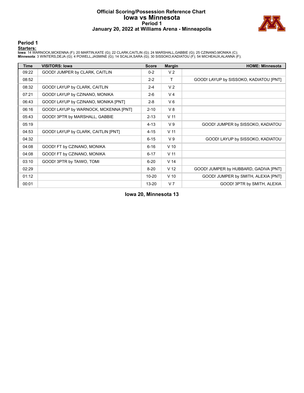# **Official Scoring/Possession Reference Chart Iowa vs Minnesota Period 1 January 20, 2022 at Williams Arena - Minneapolis**



# **Period 1**

#### **Starters:**

lowa: 14 WARNOCK,MCKENNA (F); 20 MARTIN,KATE (G); 22 CLARK,CAITLIN (G); 24 MARSHALL,GABBIE (G); 25 CZINANO,MONIKA (C);<br>**Minnesota**: 3 WINTERS,DEJA (G); 4 POWELL,JASMINE (G); 14 SCALIA,SARA (G); 30 SISSOKO,KADIATOU (F); 54

| <b>Time</b> | <b>VISITORS: Iowa</b>                 | <b>Score</b> | <b>Margin</b>   | <b>HOME: Minnesota</b>                 |
|-------------|---------------------------------------|--------------|-----------------|----------------------------------------|
| 09:22       | GOOD! JUMPER by CLARK, CAITLIN        | $0 - 2$      | V <sub>2</sub>  |                                        |
| 08:52       |                                       | $2 - 2$      | т               | GOOD! LAYUP by SISSOKO, KADIATOU [PNT] |
| 08:32       | GOOD! LAYUP by CLARK, CAITLIN         | $2 - 4$      | V <sub>2</sub>  |                                        |
| 07:21       | GOOD! LAYUP by CZINANO, MONIKA        | $2 - 6$      | V <sub>4</sub>  |                                        |
| 06:43       | GOOD! LAYUP by CZINANO, MONIKA [PNT]  | $2 - 8$      | $V_6$           |                                        |
| 06:16       | GOOD! LAYUP by WARNOCK, MCKENNA [PNT] | $2 - 10$     | V8              |                                        |
| 05:43       | GOOD! 3PTR by MARSHALL, GABBIE        | $2 - 13$     | V <sub>11</sub> |                                        |
| 05:19       |                                       | $4 - 13$     | V <sub>9</sub>  | GOOD! JUMPER by SISSOKO, KADIATOU      |
| 04:53       | GOOD! LAYUP by CLARK, CAITLIN [PNT]   | $4 - 15$     | V <sub>11</sub> |                                        |
| 04:32       |                                       | $6 - 15$     | V <sub>9</sub>  | GOOD! LAYUP by SISSOKO, KADIATOU       |
| 04:08       | GOOD! FT by CZINANO, MONIKA           | $6 - 16$     | $V$ 10          |                                        |
| 04:08       | GOOD! FT by CZINANO, MONIKA           | $6 - 17$     | V <sub>11</sub> |                                        |
| 03:10       | GOOD! 3PTR by TAIWO, TOMI             | $6 - 20$     | V <sub>14</sub> |                                        |
| 02:29       |                                       | $8 - 20$     | V <sub>12</sub> | GOOD! JUMPER by HUBBARD, GADIVA [PNT]  |
| 01:12       |                                       | $10 - 20$    | $V$ 10          | GOOD! JUMPER by SMITH, ALEXIA [PNT]    |
| 00:01       |                                       | $13 - 20$    | V <sub>7</sub>  | GOOD! 3PTR by SMITH, ALEXIA            |

**Iowa 20, Minnesota 13**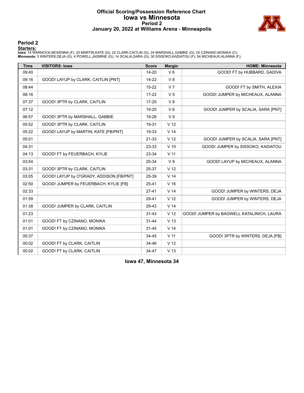# **Official Scoring/Possession Reference Chart Iowa vs Minnesota Period 2 January 20, 2022 at Williams Arena - Minneapolis**



# **Period 2**

#### **Starters:**

lowa: 14 WARNOCK,MCKENNA (F); 20 MARTIN,KATE (G); 22 CLARK,CAITLIN (G); 24 MARSHALL,GABBIE (G); 25 CZINANO,MONIKA (C);<br>**Minnesota**: 3 WINTERS,DEJA (G); 4 POWELL,JASMINE (G); 14 SCALIA,SARA (G); 30 SISSOKO,KADIATOU (F); 54

| <b>Time</b> | <b>VISITORS: Iowa</b>                    | <b>Score</b> | <b>Margin</b>   | <b>HOME: Minnesota</b>                    |
|-------------|------------------------------------------|--------------|-----------------|-------------------------------------------|
| 09:40       |                                          | 14-20        | $V_6$           | GOOD! FT by HUBBARD, GADIVA               |
| 09:16       | GOOD! LAYUP by CLARK, CAITLIN [PNT]      | $14 - 22$    | V8              |                                           |
| 08:44       |                                          | $15 - 22$    | V <sub>7</sub>  | GOOD! FT by SMITH, ALEXIA                 |
| 08:16       |                                          | $17-22$      | V <sub>5</sub>  | GOOD! JUMPER by MICHEAUX, ALANNA          |
| 07:37       | GOOD! 3PTR by CLARK, CAITLIN             | $17 - 25$    | V8              |                                           |
| 07:12       |                                          | 19-25        | $V_6$           | GOOD! JUMPER by SCALIA, SARA [PNT]        |
| 06:57       | GOOD! 3PTR by MARSHALL, GABBIE           | 19-28        | V <sub>9</sub>  |                                           |
| 05:52       | GOOD! 3PTR by CLARK, CAITLIN             | 19-31        | V <sub>12</sub> |                                           |
| 05:22       | GOOD! LAYUP by MARTIN, KATE [FB/PNT]     | 19-33        | V <sub>14</sub> |                                           |
| 05:01       |                                          | 21-33        | V <sub>12</sub> | GOOD! JUMPER by SCALIA, SARA [PNT]        |
| 04:31       |                                          | 23-33        | $V$ 10          | GOOD! JUMPER by SISSOKO, KADIATOU         |
| 04:13       | GOOD! FT by FEUERBACH, KYLIE             | 23-34        | V <sub>11</sub> |                                           |
| 03:54       |                                          | 25-34        | V <sub>9</sub>  | GOOD! LAYUP by MICHEAUX, ALANNA           |
| 03:31       | GOOD! 3PTR by CLARK, CAITLIN             | 25-37        | V <sub>12</sub> |                                           |
| 03:05       | GOOD! LAYUP by O'GRADY, ADDISON [FB/PNT] | 25-39        | V <sub>14</sub> |                                           |
| 02:50       | GOOD! JUMPER by FEUERBACH, KYLIE [FB]    | 25-41        | V <sub>16</sub> |                                           |
| 02:33       |                                          | $27 - 41$    | V <sub>14</sub> | GOOD! JUMPER by WINTERS, DEJA             |
| 01:59       |                                          | 29-41        | V <sub>12</sub> | GOOD! JUMPER by WINTERS, DEJA             |
| 01:38       | GOOD! JUMPER by CLARK, CAITLIN           | 29-43        | V <sub>14</sub> |                                           |
| 01:23       |                                          | $31 - 43$    | V <sub>12</sub> | GOOD! JUMPER by BAGWELL KATALINICH, LAURA |
| 01:01       | GOOD! FT by CZINANO, MONIKA              | $31 - 44$    | V <sub>13</sub> |                                           |
| 01:01       | GOOD! FT by CZINANO, MONIKA              | $31 - 45$    | V <sub>14</sub> |                                           |
| 00:37       |                                          | 34-45        | V <sub>11</sub> | GOOD! 3PTR by WINTERS, DEJA [FB]          |
| 00:02       | GOOD! FT by CLARK, CAITLIN               | 34-46        | V <sub>12</sub> |                                           |
| 00:02       | GOOD! FT by CLARK, CAITLIN               | 34-47        | V <sub>13</sub> |                                           |

**Iowa 47, Minnesota 34**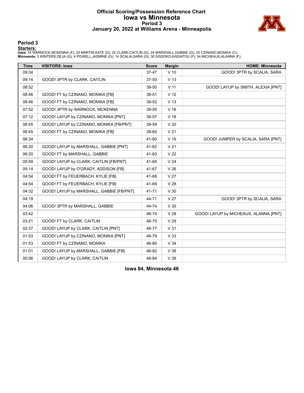# **Official Scoring/Possession Reference Chart Iowa vs Minnesota Period 3 January 20, 2022 at Williams Arena - Minneapolis**



# **Period 3**

#### **Starters:**

lowa: 14 WARNOCK,MCKENNA (F); 20 MARTIN,KATE (G); 22 CLARK,CAITLIN (G); 24 MARSHALL,GABBIE (G); 25 CZINANO,MONIKA (C);<br>**Minnesota**: 3 WINTERS,DEJA (G); 4 POWELL,JASMINE (G); 14 SCALIA,SARA (G); 30 SISSOKO,KADIATOU (F); 54

| <b>Time</b> | <b>VISITORS: Iowa</b>                    | <b>Score</b> | <b>Margin</b>   | <b>HOME: Minnesota</b>                |
|-------------|------------------------------------------|--------------|-----------------|---------------------------------------|
| 09:34       |                                          | 37-47        | $V$ 10          | GOOD! 3PTR by SCALIA, SARA            |
| 09:14       | GOOD! 3PTR by CLARK, CAITLIN             | 37-50        | V <sub>13</sub> |                                       |
| 08:52       |                                          | 39-50        | V <sub>11</sub> | GOOD! LAYUP by SMITH, ALEXIA [PNT]    |
| 08:46       | GOOD! FT by CZINANO, MONIKA [FB]         | 39-51        | V <sub>12</sub> |                                       |
| 08:46       | GOOD! FT by CZINANO, MONIKA [FB]         | 39-52        | V <sub>13</sub> |                                       |
| 07:52       | GOOD! 3PTR by WARNOCK, MCKENNA           | 39-55        | V <sub>16</sub> |                                       |
| 07:12       | GOOD! LAYUP by CZINANO, MONIKA [PNT]     | 39-57        | V <sub>18</sub> |                                       |
| 06:45       | GOOD! LAYUP by CZINANO, MONIKA [FB/PNT]  | 39-59        | V <sub>20</sub> |                                       |
| 06:45       | GOOD! FT by CZINANO, MONIKA [FB]         | 39-60        | V <sub>21</sub> |                                       |
| 06:34       |                                          | 41-60        | $V$ 19          | GOOD! JUMPER by SCALIA, SARA [PNT]    |
| 06:20       | GOOD! LAYUP by MARSHALL, GABBIE [PNT]    | 41-62        | V <sub>21</sub> |                                       |
| 06:20       | GOOD! FT by MARSHALL, GABBIE             | 41-63        | V <sub>22</sub> |                                       |
| 05:59       | GOOD! LAYUP by CLARK, CAITLIN [FB/PNT]   | 41-65        | V <sub>24</sub> |                                       |
| 05:14       | GOOD! LAYUP by O'GRADY, ADDISON [FB]     | 41-67        | V <sub>26</sub> |                                       |
| 04:54       | GOOD! FT by FEUERBACH, KYLIE [FB]        | 41-68        | V <sub>27</sub> |                                       |
| 04:54       | GOOD! FT by FEUERBACH, KYLIE [FB]        | 41-69        | V <sub>28</sub> |                                       |
| 04:32       | GOOD! LAYUP by MARSHALL, GABBIE [FB/PNT] | 41-71        | V <sub>30</sub> |                                       |
| 04:19       |                                          | 44-71        | V <sub>27</sub> | GOOD! 3PTR by SCALIA, SARA            |
| 04:06       | GOOD! 3PTR by MARSHALL, GABBIE           | 44-74        | V <sub>30</sub> |                                       |
| 03:42       |                                          | 46-74        | V <sub>28</sub> | GOOD! LAYUP by MICHEAUX, ALANNA [PNT] |
| 03:21       | GOOD! FT by CLARK, CAITLIN               | 46-75        | V <sub>29</sub> |                                       |
| 02:37       | GOOD! LAYUP by CLARK, CAITLIN [PNT]      | 46-77        | V <sub>31</sub> |                                       |
| 01:53       | GOOD! LAYUP by CZINANO, MONIKA [PNT]     | 46-79        | V <sub>33</sub> |                                       |
| 01:53       | GOOD! FT by CZINANO, MONIKA              | 46-80        | V34             |                                       |
| 01:01       | GOOD! LAYUP by MARSHALL, GABBIE [FB]     | 46-82        | V36             |                                       |
| 00:06       | GOOD! LAYUP by CLARK, CAITLIN            | 46-84        | V 38            |                                       |

**Iowa 84, Minnesota 46**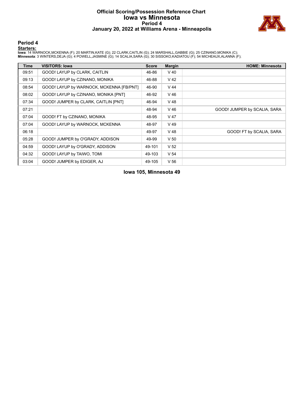# **Official Scoring/Possession Reference Chart Iowa vs Minnesota Period 4 January 20, 2022 at Williams Arena - Minneapolis**



# **Period 4**

#### **Starters:**

lowa: 14 WARNOCK,MCKENNA (F); 20 MARTIN,KATE (G); 22 CLARK,CAITLIN (G); 24 MARSHALL,GABBIE (G); 25 CZINANO,MONIKA (C);<br>**Minnesota**: 3 WINTERS,DEJA (G); 4 POWELL,JASMINE (G); 14 SCALIA,SARA (G); 30 SISSOKO,KADIATOU (F); 54

| <b>Time</b> | <b>VISITORS: Iowa</b>                    | <b>Score</b> | <b>Margin</b>   | <b>HOME: Minnesota</b>       |
|-------------|------------------------------------------|--------------|-----------------|------------------------------|
| 09:51       | GOOD! LAYUP by CLARK, CAITLIN            | 46-86        | $V$ 40          |                              |
| 09:13       | GOOD! LAYUP by CZINANO, MONIKA           | 46-88        | $V$ 42          |                              |
| 08:54       | GOOD! LAYUP by WARNOCK, MCKENNA [FB/PNT] | 46-90        | $V$ 44          |                              |
| 08:02       | GOOD! LAYUP by CZINANO, MONIKA [PNT]     | 46-92        | $V$ 46          |                              |
| 07:34       | GOOD! JUMPER by CLARK, CAITLIN [PNT]     | 46-94        | $V$ 48          |                              |
| 07:21       |                                          | 48-94        | $V$ 46          | GOOD! JUMPER by SCALIA, SARA |
| 07:04       | GOOD! FT by CZINANO, MONIKA              | 48-95        | V 47            |                              |
| 07:04       | GOOD! LAYUP by WARNOCK, MCKENNA          | 48-97        | V 49            |                              |
| 06:18       |                                          | 49-97        | $V$ 48          | GOOD! FT by SCALIA, SARA     |
| 05:28       | GOOD! JUMPER by O'GRADY, ADDISON         | 49-99        | V <sub>50</sub> |                              |
| 04:59       | GOOD! LAYUP by O'GRADY, ADDISON          | 49-101       | V <sub>52</sub> |                              |
| 04:32       | GOOD! LAYUP by TAIWO, TOMI               | 49-103       | V <sub>54</sub> |                              |
| 03:04       | GOOD! JUMPER by EDIGER, AJ               | 49-105       | V <sub>56</sub> |                              |

# **Iowa 105, Minnesota 49**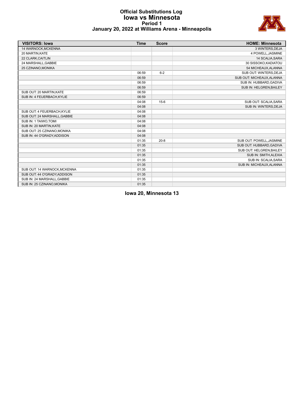# **Official Substitutions Log Iowa vs Minnesota Period 1 January 20, 2022 at Williams Arena - Minneapolis**



| <b>VISITORS: Iowa</b>        | <b>Time</b> | <b>Score</b> | <b>HOME: Minnesota</b>    |
|------------------------------|-------------|--------------|---------------------------|
| 14 WARNOCK, MCKENNA          |             |              | 3 WINTERS, DEJA           |
| 20 MARTIN.KATE               |             |              | 4 POWELL, JASMINE         |
| 22 CLARK, CAITLIN            |             |              | 14 SCALIA, SARA           |
| 24 MARSHALL, GABBIE          |             |              | 30 SISSOKO, KADIATOU      |
| 25 CZINANO, MONIKA           |             |              | 54 MICHEAUX, ALANNA       |
|                              | 06:59       | $6 - 2$      | SUB OUT: WINTERS, DEJA    |
|                              | 06:59       |              | SUB OUT: MICHEAUX, ALANNA |
|                              | 06:59       |              | SUB IN: HUBBARD, GADIVA   |
|                              | 06:59       |              | SUB IN: HELGREN, BAILEY   |
| SUB OUT: 20 MARTIN, KATE     | 06:59       |              |                           |
| SUB IN: 4 FEUERBACH, KYLIE   | 06:59       |              |                           |
|                              | 04:08       | $15-6$       | SUB OUT: SCALIA, SARA     |
|                              | 04:08       |              | SUB IN: WINTERS, DEJA     |
| SUB OUT: 4 FEUERBACH, KYLIE  | 04:08       |              |                           |
| SUB OUT: 24 MARSHALL, GABBIE | 04:08       |              |                           |
| SUB IN: 1 TAIWO, TOMI        | 04:08       |              |                           |
| SUB IN: 20 MARTIN, KATE      | 04:08       |              |                           |
| SUB OUT: 25 CZINANO.MONIKA   | 04:08       |              |                           |
| SUB IN: 44 O'GRADY, ADDISON  | 04:08       |              |                           |
|                              | 01:35       | $20 - 8$     | SUB OUT: POWELL, JASMINE  |
|                              | 01:35       |              | SUB OUT: HUBBARD, GADIVA  |
|                              | 01:35       |              | SUB OUT: HELGREN, BAILEY  |
|                              | 01:35       |              | SUB IN: SMITH, ALEXIA     |
|                              | 01:35       |              | SUB IN: SCALIA, SARA      |
|                              | 01:35       |              | SUB IN: MICHEAUX, ALANNA  |
| SUB OUT: 14 WARNOCK, MCKENNA | 01:35       |              |                           |
| SUB OUT: 44 O'GRADY, ADDISON | 01:35       |              |                           |
| SUB IN: 24 MARSHALL, GABBIE  | 01:35       |              |                           |
| SUB IN: 25 CZINANO, MONIKA   | 01:35       |              |                           |

**Iowa 20, Minnesota 13**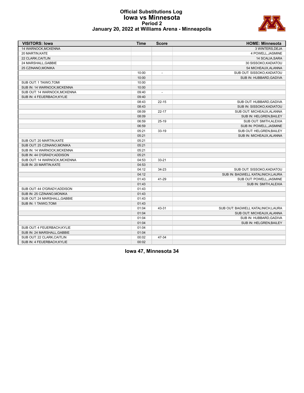# **Official Substitutions Log Iowa vs Minnesota Period 2 January 20, 2022 at Williams Arena - Minneapolis**



| <b>VISITORS: Iowa</b>        | <b>Time</b> | <b>Score</b> | <b>HOME: Minnesota</b>             |
|------------------------------|-------------|--------------|------------------------------------|
| 14 WARNOCK, MCKENNA          |             |              | 3 WINTERS, DEJA                    |
| 20 MARTIN, KATE              |             |              | 4 POWELL, JASMINE                  |
| 22 CLARK, CAITLIN            |             |              | 14 SCALIA, SARA                    |
| 24 MARSHALL, GABBIE          |             |              | 30 SISSOKO, KADIATOU               |
| 25 CZINANO, MONIKA           |             |              | 54 MICHEAUX, ALANNA                |
|                              | 10:00       |              | SUB OUT: SISSOKO, KADIATOU         |
|                              | 10:00       |              | SUB IN: HUBBARD, GADIVA            |
| SUB OUT: 1 TAIWO, TOMI       | 10:00       |              |                                    |
| SUB IN: 14 WARNOCK, MCKENNA  | 10:00       |              |                                    |
| SUB OUT: 14 WARNOCK, MCKENNA | 09:40       |              |                                    |
| SUB IN: 4 FEUERBACH, KYLIE   | 09:40       |              |                                    |
|                              | 08:43       | $22 - 15$    | SUB OUT: HUBBARD, GADIVA           |
|                              | 08:43       |              | SUB IN: SISSOKO, KADIATOU          |
|                              | 08:09       | $22 - 17$    | SUB OUT: MICHEAUX, ALANNA          |
|                              | 08:09       |              | SUB IN: HELGREN, BAILEY            |
|                              | 06:59       | $25-19$      | SUB OUT: SMITH, ALEXIA             |
|                              | 06:59       |              | SUB IN: POWELL, JASMINE            |
|                              | 05:21       | $33-19$      | SUB OUT: HELGREN, BAILEY           |
|                              | 05:21       |              | SUB IN: MICHEAUX, ALANNA           |
| SUB OUT: 20 MARTIN, KATE     | 05:21       |              |                                    |
| SUB OUT: 25 CZINANO, MONIKA  | 05:21       |              |                                    |
| SUB IN: 14 WARNOCK, MCKENNA  | 05:21       |              |                                    |
| SUB IN: 44 O'GRADY, ADDISON  | 05:21       |              |                                    |
| SUB OUT: 14 WARNOCK, MCKENNA | 04:53       | $33 - 21$    |                                    |
| SUB IN: 20 MARTIN, KATE      | 04:53       |              |                                    |
|                              | 04:12       | 34-23        | SUB OUT: SISSOKO, KADIATOU         |
|                              | 04:12       |              | SUB IN: BAGWELL KATALINICH, LAURA  |
|                              | 01:43       | 41-29        | SUB OUT: POWELL, JASMINE           |
|                              | 01:43       |              | SUB IN: SMITH, ALEXIA              |
| SUB OUT: 44 O'GRADY, ADDISON | 01:43       |              |                                    |
| SUB IN: 25 CZINANO, MONIKA   | 01:43       |              |                                    |
| SUB OUT: 24 MARSHALL, GABBIE | 01:43       |              |                                    |
| SUB IN: 1 TAIWO, TOMI        | 01:43       |              |                                    |
|                              | 01:04       | 43-31        | SUB OUT: BAGWELL KATALINICH, LAURA |
|                              | 01:04       |              | SUB OUT: MICHEAUX, ALANNA          |
|                              | 01:04       |              | SUB IN: HUBBARD, GADIVA            |
|                              | 01:04       |              | SUB IN: HELGREN, BAILEY            |
| SUB OUT: 4 FEUERBACH.KYLIE   | 01:04       |              |                                    |
| SUB IN: 24 MARSHALL, GABBIE  | 01:04       |              |                                    |
| SUB OUT: 22 CLARK, CAITLIN   | 00:02       | 47-34        |                                    |
| SUB IN: 4 FEUERBACH, KYLIE   | 00:02       |              |                                    |
|                              |             |              |                                    |

**Iowa 47, Minnesota 34**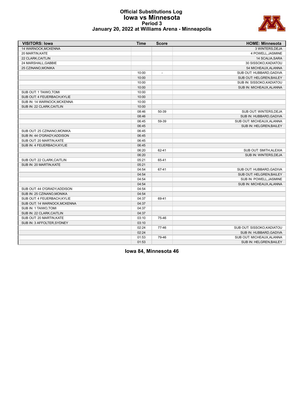

# **Official Substitutions Log Iowa vs Minnesota Period 3 January 20, 2022 at Williams Arena - Minneapolis**

| <b>VISITORS: Iowa</b>        | <b>Time</b> | <b>Score</b>             | <b>HOME: Minnesota</b>     |
|------------------------------|-------------|--------------------------|----------------------------|
| 14 WARNOCK.MCKENNA           |             |                          | 3 WINTERS.DEJA             |
| 20 MARTIN, KATE              |             |                          | 4 POWELL, JASMINE          |
| 22 CLARK, CAITLIN            |             |                          | 14 SCALIA, SARA            |
| 24 MARSHALL, GABBIE          |             |                          | 30 SISSOKO, KADIATOU       |
| 25 CZINANO, MONIKA           |             |                          | 54 MICHEAUX, ALANNA        |
|                              | 10:00       | $\overline{\phantom{a}}$ | SUB OUT: HUBBARD, GADIVA   |
|                              | 10:00       |                          | SUB OUT: HELGREN, BAILEY   |
|                              | 10:00       |                          | SUB IN: SISSOKO, KADIATOU  |
|                              | 10:00       |                          | SUB IN: MICHEAUX, ALANNA   |
| SUB OUT: 1 TAIWO, TOMI       | 10:00       |                          |                            |
| SUB OUT: 4 FEUERBACH.KYLIE   | 10:00       |                          |                            |
| SUB IN: 14 WARNOCK, MCKENNA  | 10:00       |                          |                            |
| SUB IN: 22 CLARK, CAITLIN    | 10:00       |                          |                            |
|                              | 08:46       | 50-39                    | SUB OUT: WINTERS, DEJA     |
|                              | 08:46       |                          | SUB IN: HUBBARD, GADIVA    |
|                              | 06:45       | 59-39                    | SUB OUT: MICHEAUX, ALANNA  |
|                              | 06:45       |                          | SUB IN: HELGREN, BAILEY    |
| SUB OUT: 25 CZINANO, MONIKA  | 06:45       |                          |                            |
| SUB IN: 44 O'GRADY, ADDISON  | 06:45       |                          |                            |
| SUB OUT: 20 MARTIN, KATE     | 06:45       |                          |                            |
| SUB IN: 4 FEUERBACH, KYLIE   | 06:45       |                          |                            |
|                              | 06:20       | 62-41                    | SUB OUT: SMITH, ALEXIA     |
|                              | 06:20       |                          | SUB IN: WINTERS, DEJA      |
| SUB OUT: 22 CLARK, CAITLIN   | 05:21       | 65-41                    |                            |
| SUB IN: 20 MARTIN, KATE      | 05:21       |                          |                            |
|                              | 04:54       | 67-41                    | SUB OUT: HUBBARD, GADIVA   |
|                              | 04:54       |                          | SUB OUT: HELGREN, BAILEY   |
|                              | 04:54       |                          | SUB IN: POWELL, JASMINE    |
|                              | 04:54       |                          | SUB IN: MICHEAUX, ALANNA   |
| SUB OUT: 44 O'GRADY, ADDISON | 04:54       |                          |                            |
| SUB IN: 25 CZINANO, MONIKA   | 04:54       |                          |                            |
| SUB OUT: 4 FEUERBACH, KYLIE  | 04:37       | 69-41                    |                            |
| SUB OUT: 14 WARNOCK, MCKENNA | 04:37       |                          |                            |
| SUB IN: 1 TAIWO, TOMI        | 04:37       |                          |                            |
| SUB IN: 22 CLARK, CAITLIN    | 04:37       |                          |                            |
| SUB OUT: 20 MARTIN, KATE     | 03:10       | 75-46                    |                            |
| SUB IN: 3 AFFOLTER, SYDNEY   | 03:10       |                          |                            |
|                              | 02:24       | 77-46                    | SUB OUT: SISSOKO, KADIATOU |
|                              | 02:24       |                          | SUB IN: HUBBARD, GADIVA    |
|                              | 01:53       | 79-46                    | SUB OUT: MICHEAUX, ALANNA  |
|                              | 01:53       |                          | SUB IN: HELGREN, BAILEY    |

**Iowa 84, Minnesota 46**